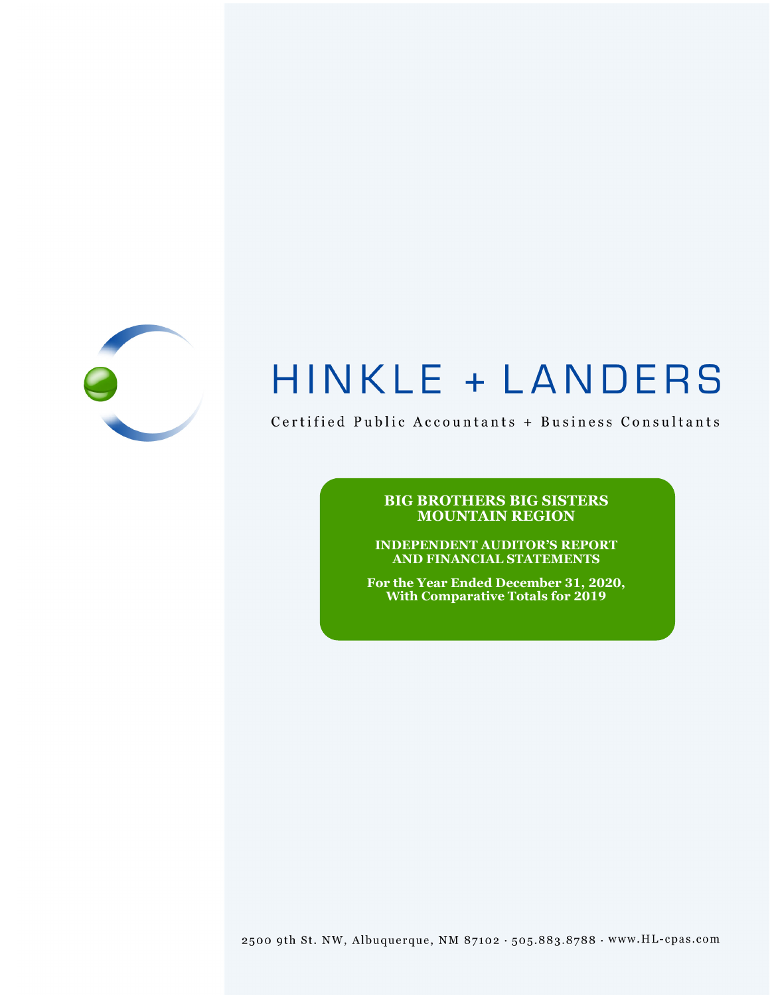

# HINKLE + LANDERS

Certified Public Accountants + Business Consultants

**BIG BROTHERS BIG SISTERS MOUNTAIN REGION**

**INDEPENDENT AUDITOR'S REPORT AND FINANCIAL STATEMENTS**

**For the Year Ended December 31, 2020, With Comparative Totals for 2019**

2500 9th St. NW, Albuquerque, NM 87102 . 505.883.8788 . www.HL-cpas.com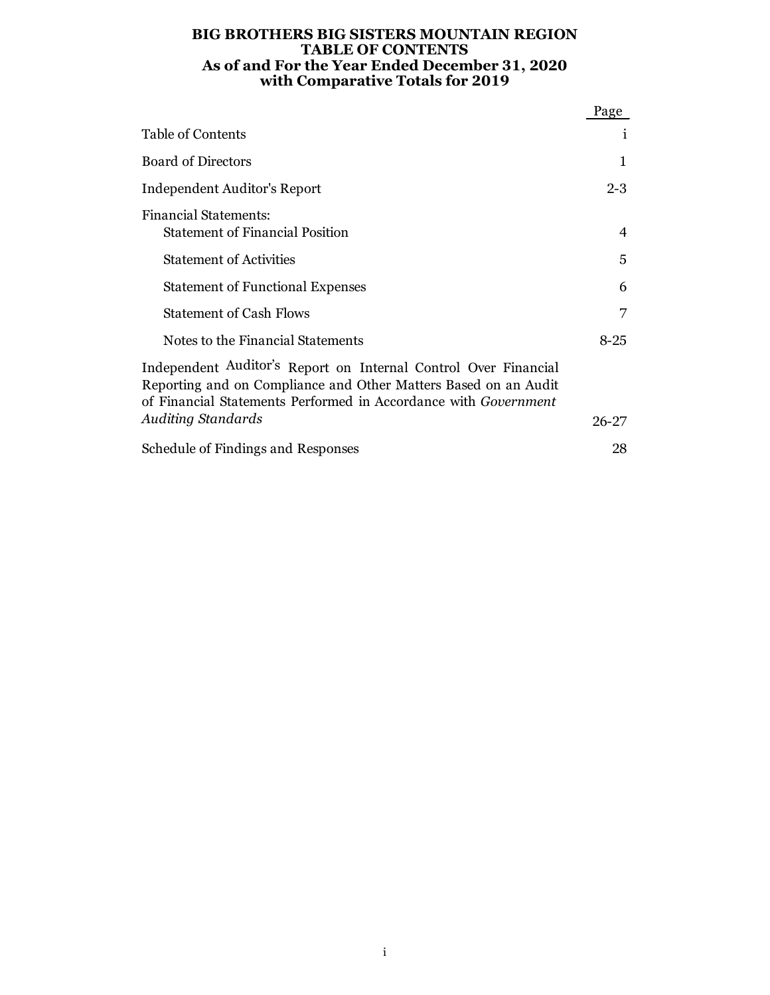## **BIG BROTHERS BIG SISTERS MOUNTAIN REGION TABLE OF CONTENTS As of and For the Year Ended December 31, 2020 with Comparative Totals for 2019**

|                                                                                                                                                                                                       | Page     |
|-------------------------------------------------------------------------------------------------------------------------------------------------------------------------------------------------------|----------|
| Table of Contents                                                                                                                                                                                     | 1        |
| <b>Board of Directors</b>                                                                                                                                                                             | 1        |
| Independent Auditor's Report                                                                                                                                                                          | $2 - 3$  |
| <b>Financial Statements:</b><br><b>Statement of Financial Position</b>                                                                                                                                | 4        |
| <b>Statement of Activities</b>                                                                                                                                                                        | 5        |
| <b>Statement of Functional Expenses</b>                                                                                                                                                               | 6        |
| <b>Statement of Cash Flows</b>                                                                                                                                                                        | 7        |
| Notes to the Financial Statements                                                                                                                                                                     | $8 - 25$ |
| Independent Auditor's Report on Internal Control Over Financial<br>Reporting and on Compliance and Other Matters Based on an Audit<br>of Financial Statements Performed in Accordance with Government |          |
| <b>Auditing Standards</b>                                                                                                                                                                             | 26-27    |
| Schedule of Findings and Responses                                                                                                                                                                    | 28       |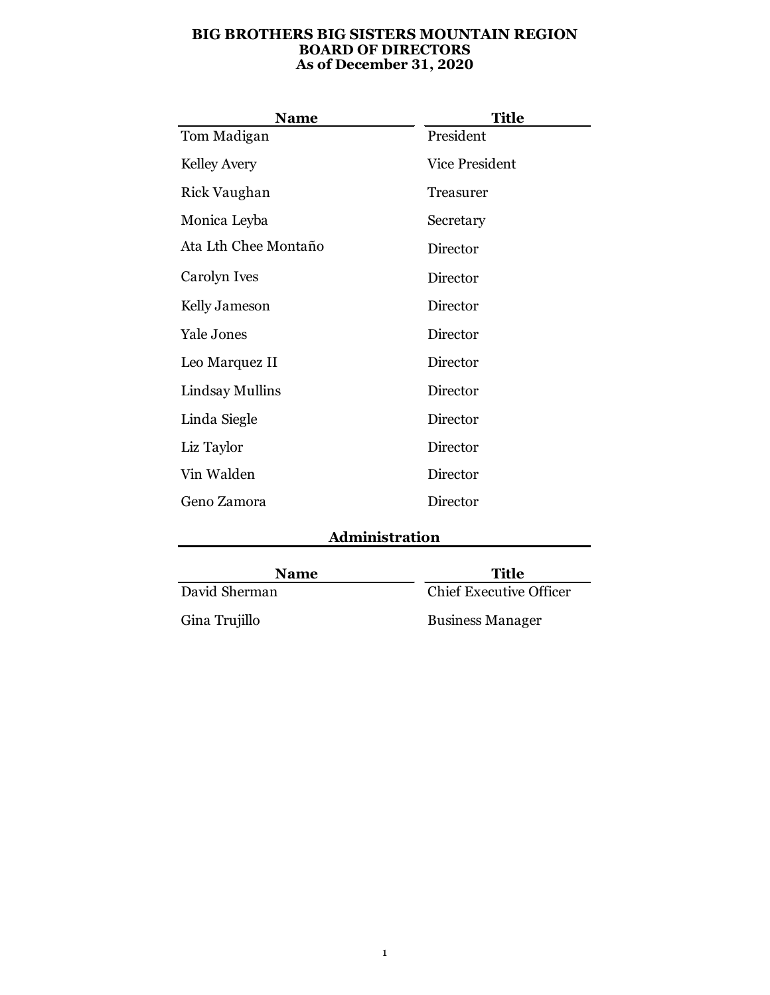## **BIG BROTHERS BIG SISTERS MOUNTAIN REGION BOARD OF DIRECTORS As of December 31, 2020**

| <b>Name</b>            | <b>Title</b>          |
|------------------------|-----------------------|
| Tom Madigan            | President             |
| <b>Kelley Avery</b>    | <b>Vice President</b> |
| Rick Vaughan           | Treasurer             |
| Monica Leyba           | Secretary             |
| Ata Lth Chee Montaño   | Director              |
| Carolyn Ives           | Director              |
| Kelly Jameson          | Director              |
| <b>Yale Jones</b>      | Director              |
| Leo Marquez II         | Director              |
| <b>Lindsay Mullins</b> | Director              |
| Linda Siegle           | Director              |
| Liz Taylor             | Director              |
| Vin Walden             | Director              |
| Geno Zamora            | Director              |
|                        |                       |

# **Administration**

| <b>Name</b>   | Title                          |
|---------------|--------------------------------|
| David Sherman | <b>Chief Executive Officer</b> |
| Gina Trujillo | <b>Business Manager</b>        |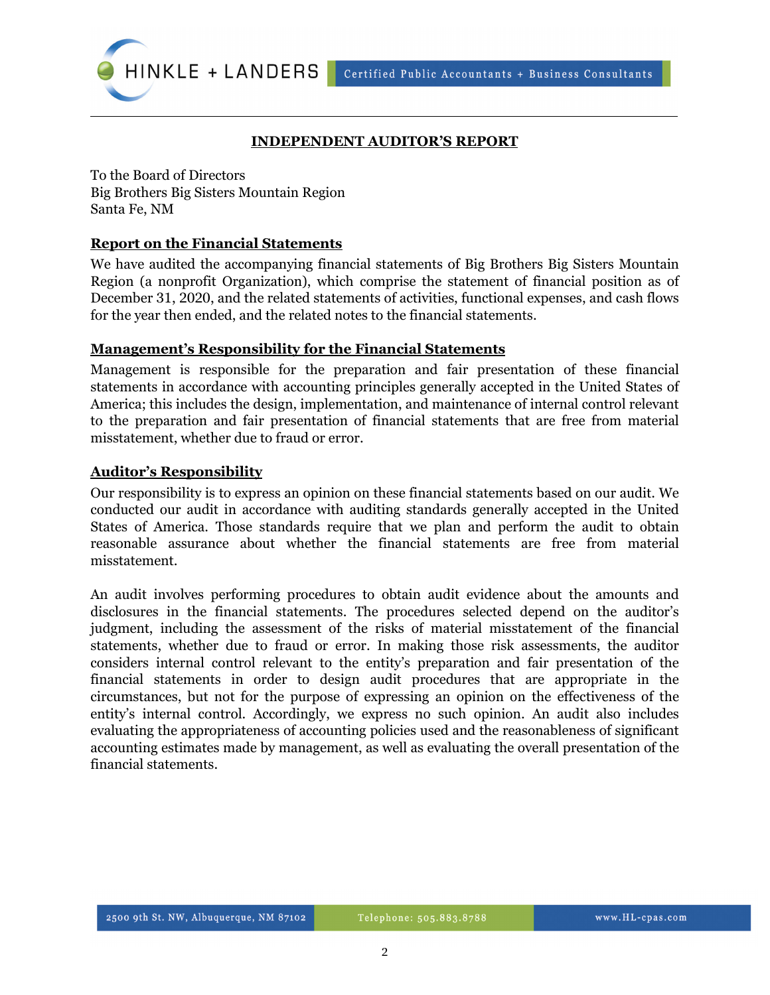Certified Public Accountants + Business Consultants



## **INDEPENDENT AUDITOR'S REPORT**

To the Board of Directors Big Brothers Big Sisters Mountain Region Santa Fe, NM

## **Report on the Financial Statements**

We have audited the accompanying financial statements of Big Brothers Big Sisters Mountain Region (a nonprofit Organization), which comprise the statement of financial position as of December 31, 2020, and the related statements of activities, functional expenses, and cash flows for the year then ended, and the related notes to the financial statements.

## **Management's Responsibility for the Financial Statements**

Management is responsible for the preparation and fair presentation of these financial statements in accordance with accounting principles generally accepted in the United States of America; this includes the design, implementation, and maintenance of internal control relevant to the preparation and fair presentation of financial statements that are free from material misstatement, whether due to fraud or error.

## **Auditor's Responsibility**

Our responsibility is to express an opinion on these financial statements based on our audit. We conducted our audit in accordance with auditing standards generally accepted in the United States of America. Those standards require that we plan and perform the audit to obtain reasonable assurance about whether the financial statements are free from material misstatement.

An audit involves performing procedures to obtain audit evidence about the amounts and disclosures in the financial statements. The procedures selected depend on the auditor's judgment, including the assessment of the risks of material misstatement of the financial statements, whether due to fraud or error. In making those risk assessments, the auditor considers internal control relevant to the entity's preparation and fair presentation of the financial statements in order to design audit procedures that are appropriate in the circumstances, but not for the purpose of expressing an opinion on the effectiveness of the entity's internal control. Accordingly, we express no such opinion. An audit also includes evaluating the appropriateness of accounting policies used and the reasonableness of significant accounting estimates made by management, as well as evaluating the overall presentation of the financial statements.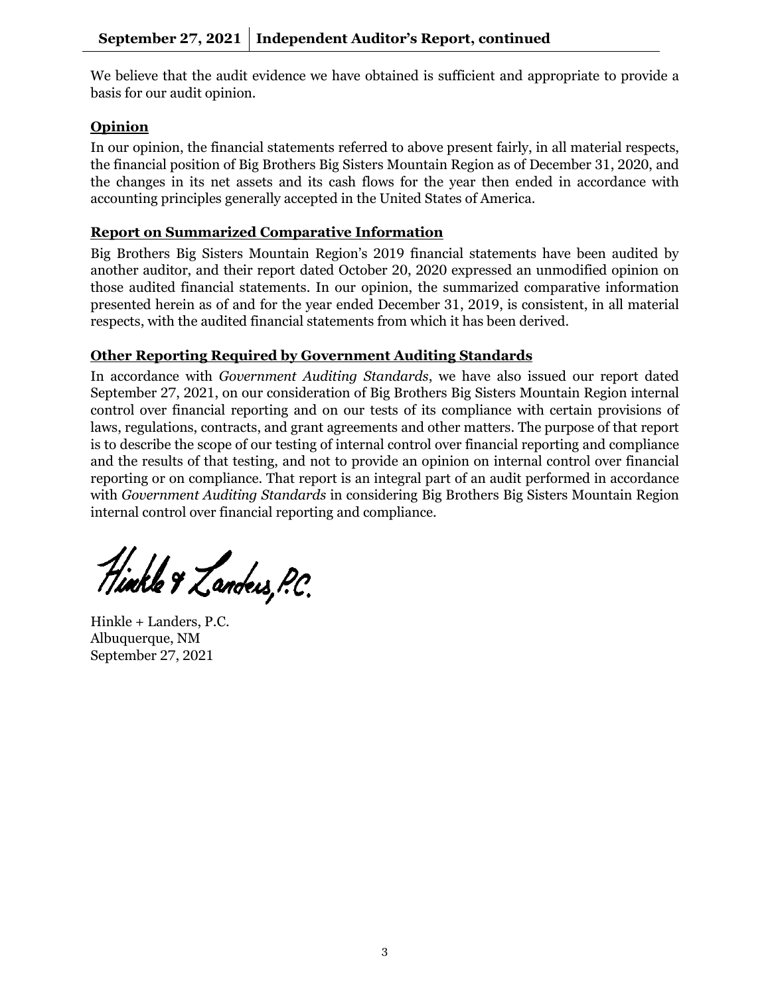We believe that the audit evidence we have obtained is sufficient and appropriate to provide a basis for our audit opinion.

# **Opinion**

In our opinion, the financial statements referred to above present fairly, in all material respects, the financial position of Big Brothers Big Sisters Mountain Region as of December 31, 2020, and the changes in its net assets and its cash flows for the year then ended in accordance with accounting principles generally accepted in the United States of America.

# **Report on Summarized Comparative Information**

Big Brothers Big Sisters Mountain Region's 2019 financial statements have been audited by another auditor, and their report dated October 20, 2020 expressed an unmodified opinion on those audited financial statements. In our opinion, the summarized comparative information presented herein as of and for the year ended December 31, 2019, is consistent, in all material respects, with the audited financial statements from which it has been derived.

# **Other Reporting Required by Government Auditing Standards**

In accordance with *Government Auditing Standards*, we have also issued our report dated September 27, 2021, on our consideration of Big Brothers Big Sisters Mountain Region internal control over financial reporting and on our tests of its compliance with certain provisions of laws, regulations, contracts, and grant agreements and other matters. The purpose of that report is to describe the scope of our testing of internal control over financial reporting and compliance and the results of that testing, and not to provide an opinion on internal control over financial reporting or on compliance. That report is an integral part of an audit performed in accordance with *Government Auditing Standards* in considering Big Brothers Big Sisters Mountain Region internal control over financial reporting and compliance.

Hinkle & Landers, P.C.

Hinkle + Landers, P.C. Albuquerque, NM September 27, 2021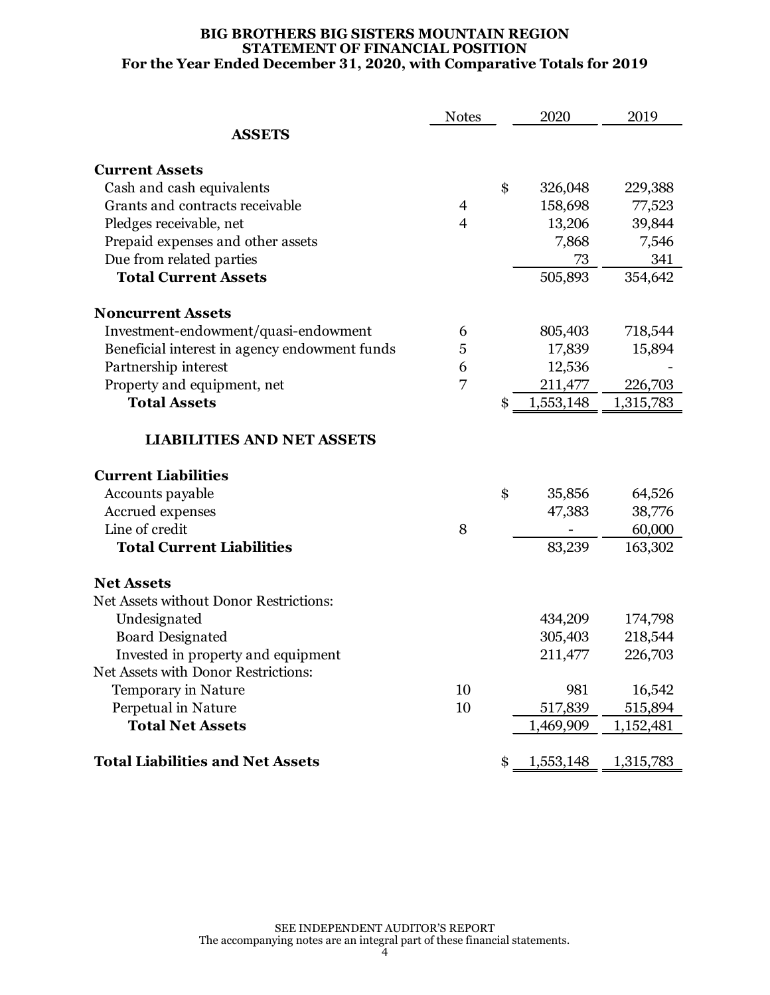|                                               | <b>Notes</b>   | 2020            | 2019      |
|-----------------------------------------------|----------------|-----------------|-----------|
| <b>ASSETS</b>                                 |                |                 |           |
| <b>Current Assets</b>                         |                |                 |           |
| Cash and cash equivalents                     |                | \$<br>326,048   | 229,388   |
| Grants and contracts receivable               | $\overline{4}$ | 158,698         | 77,523    |
| Pledges receivable, net                       | $\overline{4}$ | 13,206          | 39,844    |
| Prepaid expenses and other assets             |                | 7,868           | 7,546     |
| Due from related parties                      |                | 73              | 341       |
| <b>Total Current Assets</b>                   |                | 505,893         | 354,642   |
| <b>Noncurrent Assets</b>                      |                |                 |           |
| Investment-endowment/quasi-endowment          | 6              | 805,403         | 718,544   |
| Beneficial interest in agency endowment funds | 5              | 17,839          | 15,894    |
| Partnership interest                          | 6              | 12,536          |           |
| Property and equipment, net                   | 7              | 211,477         | 226,703   |
| <b>Total Assets</b>                           |                | \$<br>1,553,148 | 1,315,783 |
|                                               |                |                 |           |
| <b>LIABILITIES AND NET ASSETS</b>             |                |                 |           |
| <b>Current Liabilities</b>                    |                |                 |           |
| Accounts payable                              |                | \$<br>35,856    | 64,526    |
| Accrued expenses                              |                | 47,383          | 38,776    |
| Line of credit                                | 8              |                 | 60,000    |
| <b>Total Current Liabilities</b>              |                | 83,239          | 163,302   |
| <b>Net Assets</b>                             |                |                 |           |
| Net Assets without Donor Restrictions:        |                |                 |           |
| Undesignated                                  |                | 434,209         | 174,798   |
| <b>Board Designated</b>                       |                | 305,403         | 218,544   |
| Invested in property and equipment            |                | 211,477         | 226,703   |
| Net Assets with Donor Restrictions:           |                |                 |           |
| <b>Temporary in Nature</b>                    | 10             | 981             | 16,542    |
| Perpetual in Nature                           | 10             | 517,839         | 515,894   |
| <b>Total Net Assets</b>                       |                | 1,469,909       | 1,152,481 |
| <b>Total Liabilities and Net Assets</b>       |                | \$<br>1,553,148 | 1,315,783 |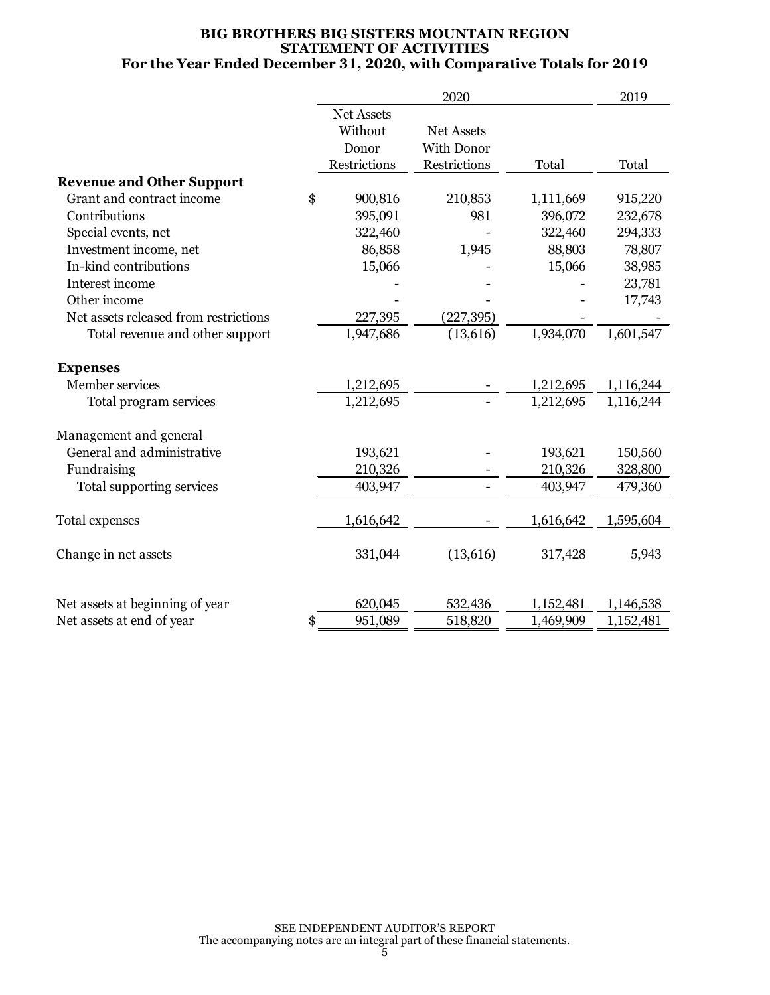#### **BIG BROTHERS BIG SISTERS MOUNTAIN REGION STATEMENT OF ACTIVITIES For the Year Ended December 31, 2020, with Comparative Totals for 2019**

|                                       |                   |                   | 2019      |           |
|---------------------------------------|-------------------|-------------------|-----------|-----------|
|                                       | <b>Net Assets</b> |                   |           |           |
|                                       | Without           | <b>Net Assets</b> |           |           |
|                                       | Donor             | With Donor        |           |           |
|                                       | Restrictions      | Restrictions      | Total     | Total     |
| <b>Revenue and Other Support</b>      |                   |                   |           |           |
| Grant and contract income             | \$<br>900,816     | 210,853           | 1,111,669 | 915,220   |
| Contributions                         | 395,091           | 981               | 396,072   | 232,678   |
| Special events, net                   | 322,460           |                   | 322,460   | 294,333   |
| Investment income, net                | 86,858            | 1,945             | 88,803    | 78,807    |
| In-kind contributions                 | 15,066            |                   | 15,066    | 38,985    |
| Interest income                       |                   |                   |           | 23,781    |
| Other income                          |                   |                   |           | 17,743    |
| Net assets released from restrictions | 227,395           | (227, 395)        |           |           |
| Total revenue and other support       | 1,947,686         | (13,616)          | 1,934,070 | 1,601,547 |
| <b>Expenses</b>                       |                   |                   |           |           |
| Member services                       | 1,212,695         |                   | 1,212,695 | 1,116,244 |
| Total program services                | 1,212,695         |                   | 1,212,695 | 1,116,244 |
| Management and general                |                   |                   |           |           |
| General and administrative            | 193,621           |                   | 193,621   | 150,560   |
| Fundraising                           | 210,326           |                   | 210,326   | 328,800   |
| Total supporting services             | 403,947           |                   | 403,947   | 479,360   |
|                                       |                   |                   |           |           |
| Total expenses                        | 1,616,642         |                   | 1,616,642 | 1,595,604 |
| Change in net assets                  | 331,044           | (13,616)          | 317,428   | 5,943     |
| Net assets at beginning of year       | 620,045           | 532,436           | 1,152,481 | 1,146,538 |
| Net assets at end of year             | 951,089           | 518,820           | 1,469,909 | 1,152,481 |
|                                       |                   |                   |           |           |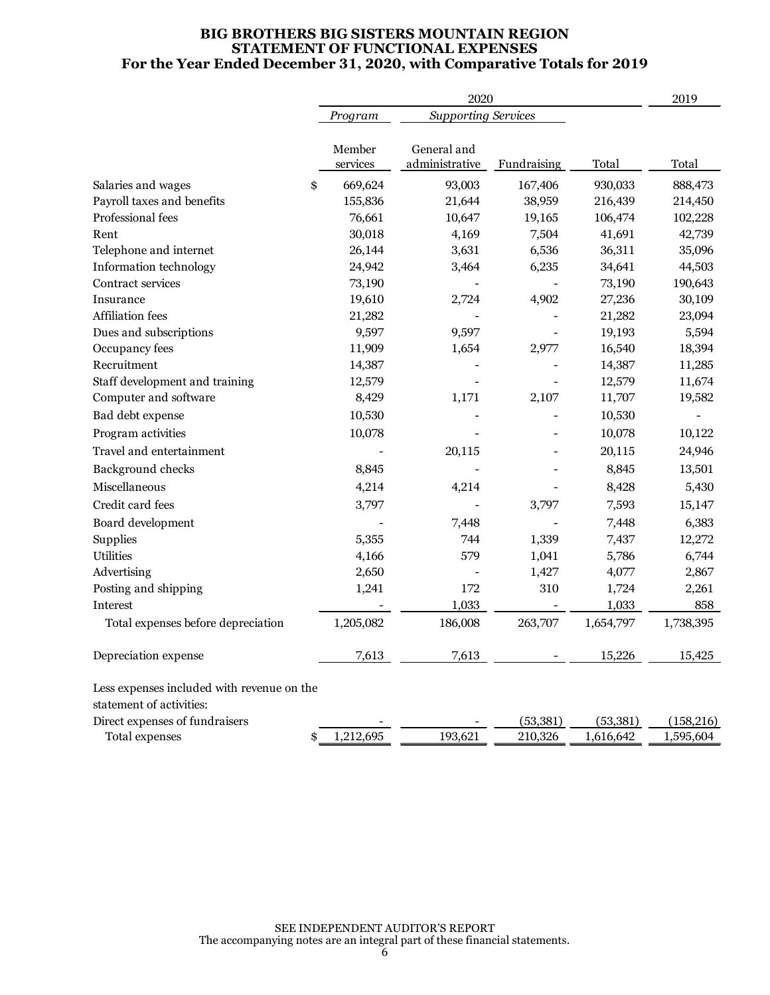#### **BIG BROTHERS BIG SISTERS MOUNTAIN REGION STATEMENT OF FUNCTIONAL EXPENSES For the Year Ended December 31, 2020, with Comparative Totals for 2019**

|                                            |                                       |                    | 2020                          |             |           | 2019       |
|--------------------------------------------|---------------------------------------|--------------------|-------------------------------|-------------|-----------|------------|
|                                            | <b>Supporting Services</b><br>Program |                    |                               |             |           |            |
|                                            |                                       | Member<br>services | General and<br>administrative | Fundraising | Total     | Total      |
| Salaries and wages                         | \$                                    | 669,624            | 93,003                        | 167,406     | 930,033   | 888,473    |
| Payroll taxes and benefits                 |                                       | 155,836            | 21,644                        | 38,959      | 216,439   | 214,450    |
| Professional fees                          |                                       | 76,661             | 10,647                        | 19,165      | 106,474   | 102,228    |
| Rent                                       |                                       | 30,018             | 4,169                         | 7,504       | 41,691    | 42,739     |
| Telephone and internet                     |                                       | 26,144             | 3,631                         | 6,536       | 36,311    | 35,096     |
| Information technology                     |                                       | 24,942             | 3,464                         | 6,235       | 34,641    | 44,503     |
| Contract services                          |                                       | 73,190             |                               |             | 73,190    | 190,643    |
| Insurance                                  |                                       | 19,610             | 2,724                         | 4,902       | 27,236    | 30,109     |
| <b>Affiliation</b> fees                    |                                       | 21,282             |                               |             | 21,282    | 23,094     |
| Dues and subscriptions                     |                                       | 9,597              | 9,597                         |             | 19,193    | 5,594      |
| Occupancy fees                             |                                       | 11,909             | 1,654                         | 2,977       | 16,540    | 18,394     |
| Recruitment                                |                                       | 14,387             |                               |             | 14,387    | 11,285     |
| Staff development and training             |                                       | 12,579             |                               |             | 12,579    | 11,674     |
| Computer and software                      |                                       | 8,429              | 1,171                         | 2,107       | 11,707    | 19,582     |
| Bad debt expense                           |                                       | 10,530             |                               |             | 10,530    |            |
| Program activities                         |                                       | 10,078             |                               |             | 10,078    | 10,122     |
| Travel and entertainment                   |                                       |                    | 20,115                        |             | 20,115    | 24,946     |
| <b>Background</b> checks                   |                                       | 8,845              |                               |             | 8,845     | 13,501     |
| Miscellaneous                              |                                       | 4,214              | 4,214                         |             | 8,428     | 5,430      |
| Credit card fees                           |                                       | 3,797              |                               | 3,797       | 7,593     | 15,147     |
| Board development                          |                                       |                    | 7,448                         |             | 7,448     | 6,383      |
| Supplies                                   |                                       | 5,355              | 744                           | 1,339       | 7,437     | 12,272     |
| <b>Utilities</b>                           |                                       | 4,166              | 579                           | 1,041       | 5,786     | 6,744      |
| Advertising                                |                                       | 2,650              |                               | 1,427       | 4,077     | 2,867      |
| Posting and shipping                       |                                       | 1,241              | 172                           | 310         | 1,724     | 2,261      |
| Interest                                   |                                       |                    | 1,033                         |             | 1,033     | 858        |
| Total expenses before depreciation         |                                       | 1,205,082          | 186,008                       | 263,707     | 1,654,797 | 1,738,395  |
| Depreciation expense                       |                                       | 7,613              | 7,613                         |             | 15,226    | 15,425     |
| Less expenses included with revenue on the |                                       |                    |                               |             |           |            |
| statement of activities:                   |                                       |                    |                               |             |           |            |
| Direct expenses of fundraisers             |                                       |                    |                               | (53, 381)   | (53, 381) | (158, 216) |
| Total expenses                             | \$                                    | 1,212,695          | 193,621                       | 210,326     | 1,616,642 | 1,595,604  |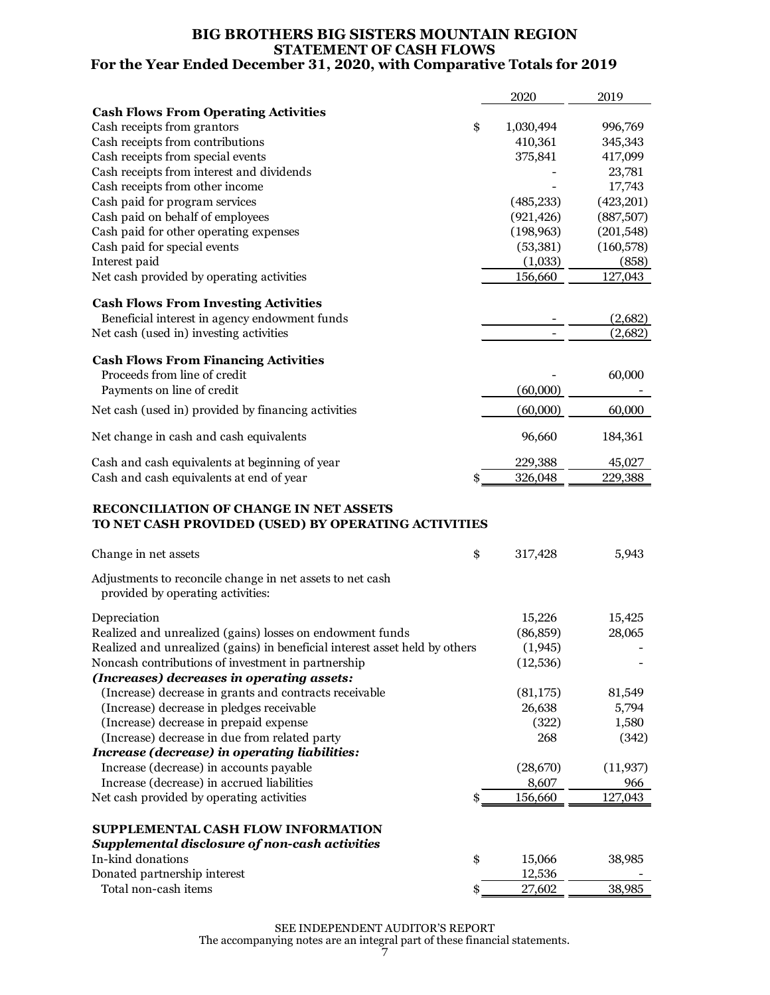#### **BIG BROTHERS BIG SISTERS MOUNTAIN REGION STATEMENT OF CASH FLOWS For the Year Ended December 31, 2020, with Comparative Totals for 2019**

|                                                     | 2020            | 2019       |
|-----------------------------------------------------|-----------------|------------|
| <b>Cash Flows From Operating Activities</b>         |                 |            |
| Cash receipts from grantors                         | \$<br>1,030,494 | 996,769    |
| Cash receipts from contributions                    | 410,361         | 345,343    |
| Cash receipts from special events                   | 375,841         | 417,099    |
| Cash receipts from interest and dividends           |                 | 23,781     |
| Cash receipts from other income                     |                 | 17,743     |
| Cash paid for program services                      | (485, 233)      | (423, 201) |
| Cash paid on behalf of employees                    | (921, 426)      | (887,507)  |
| Cash paid for other operating expenses              | (198, 963)      | (201, 548) |
| Cash paid for special events                        | (53, 381)       | (160, 578) |
| Interest paid                                       | (1,033)         | (858)      |
| Net cash provided by operating activities           | 156,660         | 127,043    |
| <b>Cash Flows From Investing Activities</b>         |                 |            |
| Beneficial interest in agency endowment funds       |                 | (2,682)    |
| Net cash (used in) investing activities             |                 | (2,682)    |
| <b>Cash Flows From Financing Activities</b>         |                 |            |
| Proceeds from line of credit                        |                 | 60,000     |
| Payments on line of credit                          | (60,000)        |            |
| Net cash (used in) provided by financing activities | (60,000)        | 60,000     |
| Net change in cash and cash equivalents             | 96,660          | 184,361    |
| Cash and cash equivalents at beginning of year      | 229,388         | 45,027     |
| Cash and cash equivalents at end of year            | 326,048         | 229,388    |

#### **RECONCILIATION OF CHANGE IN NET ASSETS TO NET CASH PROVIDED (USED) BY OPERATING ACTIVITIES**

| Change in net assets                                                                           | \$<br>317,428 | 5,943     |
|------------------------------------------------------------------------------------------------|---------------|-----------|
| Adjustments to reconcile change in net assets to net cash<br>provided by operating activities: |               |           |
| Depreciation                                                                                   | 15,226        | 15,425    |
| Realized and unrealized (gains) losses on endowment funds                                      | (86, 859)     | 28,065    |
| Realized and unrealized (gains) in beneficial interest asset held by others                    | (1, 945)      |           |
| Noncash contributions of investment in partnership                                             | (12, 536)     |           |
| (Increases) decreases in operating assets:                                                     |               |           |
| (Increase) decrease in grants and contracts receivable                                         | (81, 175)     | 81,549    |
| (Increase) decrease in pledges receivable                                                      | 26,638        | 5,794     |
| (Increase) decrease in prepaid expense                                                         | (322)         | 1,580     |
| (Increase) decrease in due from related party                                                  | 268           | (342)     |
| Increase (decrease) in operating liabilities:                                                  |               |           |
| Increase (decrease) in accounts payable                                                        | (28,670)      | (11, 937) |
| Increase (decrease) in accrued liabilities                                                     | 8,607         | 966       |
| Net cash provided by operating activities                                                      | 156,660       | 127,043   |
| <b>SUPPLEMENTAL CASH FLOW INFORMATION</b>                                                      |               |           |
| Supplemental disclosure of non-cash activities                                                 |               |           |
| In-kind donations                                                                              | \$<br>15,066  | 38,985    |
| Donated partnership interest                                                                   | 12,536        |           |
| Total non-cash items                                                                           | 27,602        | 38,985    |

SEE INDEPENDENT AUDITOR'S REPORT

The accompanying notes are an integral part of these financial statements.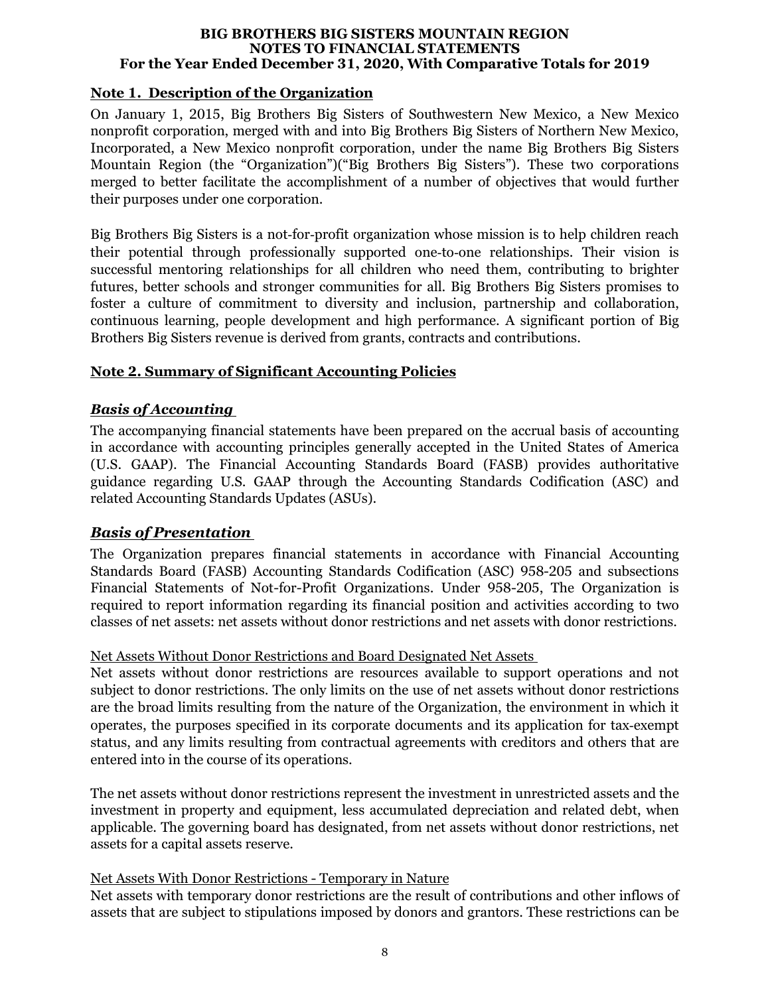## **Note 1. Description of the Organization**

On January 1, 2015, Big Brothers Big Sisters of Southwestern New Mexico, a New Mexico nonprofit corporation, merged with and into Big Brothers Big Sisters of Northern New Mexico, Incorporated, a New Mexico nonprofit corporation, under the name Big Brothers Big Sisters Mountain Region (the "Organization")("Big Brothers Big Sisters"). These two corporations merged to better facilitate the accomplishment of a number of objectives that would further their purposes under one corporation.

Big Brothers Big Sisters is a not‐for‐profit organization whose mission is to help children reach their potential through professionally supported one‐to‐one relationships. Their vision is successful mentoring relationships for all children who need them, contributing to brighter futures, better schools and stronger communities for all. Big Brothers Big Sisters promises to foster a culture of commitment to diversity and inclusion, partnership and collaboration, continuous learning, people development and high performance. A significant portion of Big Brothers Big Sisters revenue is derived from grants, contracts and contributions.

## **Note 2. Summary of Significant Accounting Policies**

# *Basis of Accounting*

The accompanying financial statements have been prepared on the accrual basis of accounting in accordance with accounting principles generally accepted in the United States of America (U.S. GAAP). The Financial Accounting Standards Board (FASB) provides authoritative guidance regarding U.S. GAAP through the Accounting Standards Codification (ASC) and related Accounting Standards Updates (ASUs).

# *Basis of Presentation*

The Organization prepares financial statements in accordance with Financial Accounting Standards Board (FASB) Accounting Standards Codification (ASC) 958-205 and subsections Financial Statements of Not-for-Profit Organizations. Under 958-205, The Organization is required to report information regarding its financial position and activities according to two classes of net assets: net assets without donor restrictions and net assets with donor restrictions.

## Net Assets Without Donor Restrictions and Board Designated Net Assets

Net assets without donor restrictions are resources available to support operations and not subject to donor restrictions. The only limits on the use of net assets without donor restrictions are the broad limits resulting from the nature of the Organization, the environment in which it operates, the purposes specified in its corporate documents and its application for tax‐exempt status, and any limits resulting from contractual agreements with creditors and others that are entered into in the course of its operations.

The net assets without donor restrictions represent the investment in unrestricted assets and the investment in property and equipment, less accumulated depreciation and related debt, when applicable. The governing board has designated, from net assets without donor restrictions, net assets for a capital assets reserve.

#### Net Assets With Donor Restrictions - Temporary in Nature

Net assets with temporary donor restrictions are the result of contributions and other inflows of assets that are subject to stipulations imposed by donors and grantors. These restrictions can be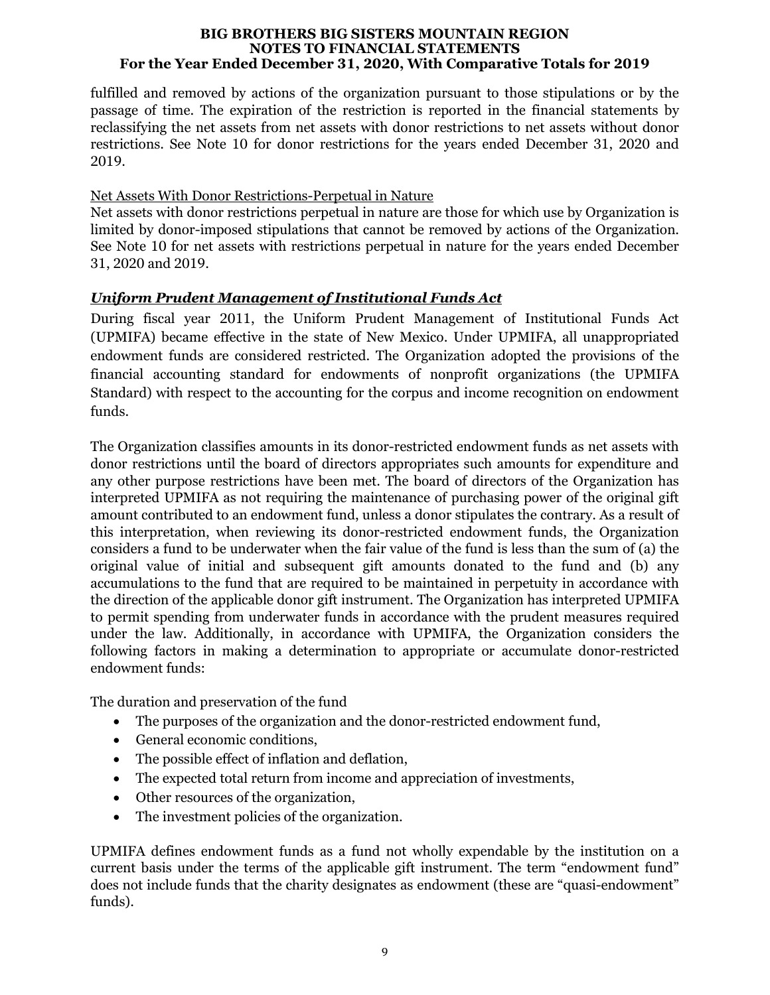fulfilled and removed by actions of the organization pursuant to those stipulations or by the passage of time. The expiration of the restriction is reported in the financial statements by reclassifying the net assets from net assets with donor restrictions to net assets without donor restrictions. See Note 10 for donor restrictions for the years ended December 31, 2020 and 2019.

## Net Assets With Donor Restrictions-Perpetual in Nature

Net assets with donor restrictions perpetual in nature are those for which use by Organization is limited by donor-imposed stipulations that cannot be removed by actions of the Organization. See Note 10 for net assets with restrictions perpetual in nature for the years ended December 31, 2020 and 2019.

## *Uniform Prudent Management of Institutional Funds Act*

During fiscal year 2011, the Uniform Prudent Management of Institutional Funds Act (UPMIFA) became effective in the state of New Mexico. Under UPMIFA, all unappropriated endowment funds are considered restricted. The Organization adopted the provisions of the financial accounting standard for endowments of nonprofit organizations (the UPMIFA Standard) with respect to the accounting for the corpus and income recognition on endowment funds.

The Organization classifies amounts in its donor-restricted endowment funds as net assets with donor restrictions until the board of directors appropriates such amounts for expenditure and any other purpose restrictions have been met. The board of directors of the Organization has interpreted UPMIFA as not requiring the maintenance of purchasing power of the original gift amount contributed to an endowment fund, unless a donor stipulates the contrary. As a result of this interpretation, when reviewing its donor-restricted endowment funds, the Organization considers a fund to be underwater when the fair value of the fund is less than the sum of (a) the original value of initial and subsequent gift amounts donated to the fund and (b) any accumulations to the fund that are required to be maintained in perpetuity in accordance with the direction of the applicable donor gift instrument. The Organization has interpreted UPMIFA to permit spending from underwater funds in accordance with the prudent measures required under the law. Additionally, in accordance with UPMIFA, the Organization considers the following factors in making a determination to appropriate or accumulate donor-restricted endowment funds:

The duration and preservation of the fund

- The purposes of the organization and the donor-restricted endowment fund,
- General economic conditions,
- The possible effect of inflation and deflation,
- The expected total return from income and appreciation of investments,
- Other resources of the organization,
- The investment policies of the organization.

UPMIFA defines endowment funds as a fund not wholly expendable by the institution on a current basis under the terms of the applicable gift instrument. The term "endowment fund" does not include funds that the charity designates as endowment (these are "quasi-endowment" funds).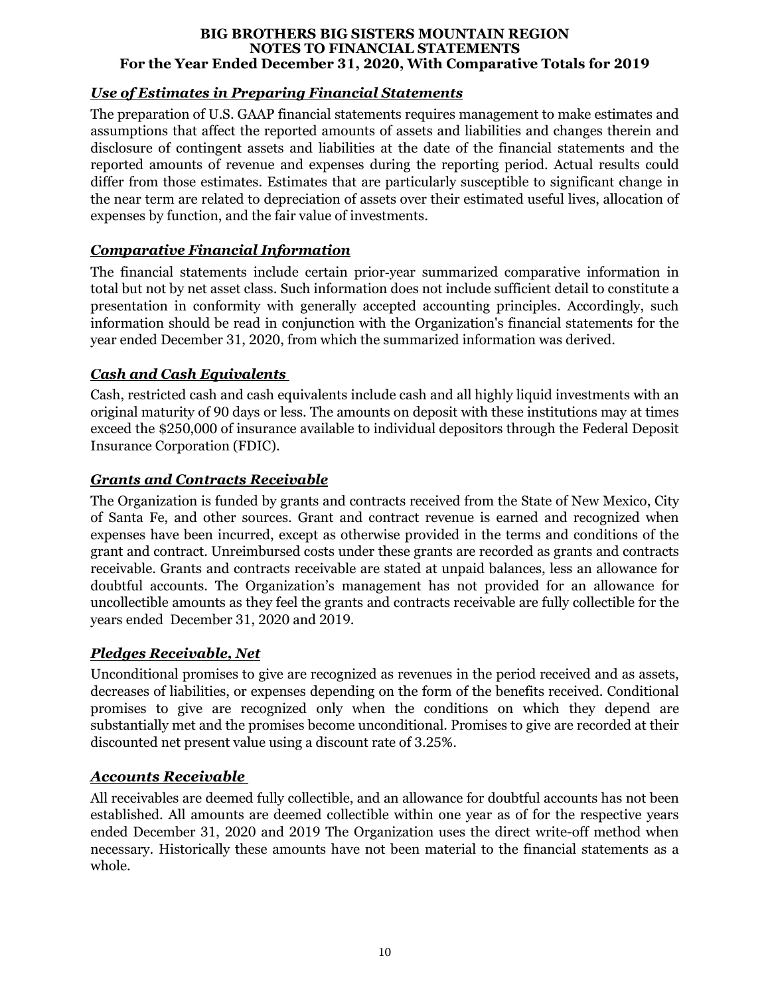# *Use of Estimates in Preparing Financial Statements*

The preparation of U.S. GAAP financial statements requires management to make estimates and assumptions that affect the reported amounts of assets and liabilities and changes therein and disclosure of contingent assets and liabilities at the date of the financial statements and the reported amounts of revenue and expenses during the reporting period. Actual results could differ from those estimates. Estimates that are particularly susceptible to significant change in the near term are related to depreciation of assets over their estimated useful lives, allocation of expenses by function, and the fair value of investments.

# *Comparative Financial Information*

The financial statements include certain prior‐year summarized comparative information in total but not by net asset class. Such information does not include sufficient detail to constitute a presentation in conformity with generally accepted accounting principles. Accordingly, such information should be read in conjunction with the Organization's financial statements for the year ended December 31, 2020, from which the summarized information was derived.

## *Cash and Cash Equivalents*

Cash, restricted cash and cash equivalents include cash and all highly liquid investments with an original maturity of 90 days or less. The amounts on deposit with these institutions may at times exceed the \$250,000 of insurance available to individual depositors through the Federal Deposit Insurance Corporation (FDIC).

## *Grants and Contracts Receivable*

The Organization is funded by grants and contracts received from the State of New Mexico, City of Santa Fe, and other sources. Grant and contract revenue is earned and recognized when expenses have been incurred, except as otherwise provided in the terms and conditions of the grant and contract. Unreimbursed costs under these grants are recorded as grants and contracts receivable. Grants and contracts receivable are stated at unpaid balances, less an allowance for doubtful accounts. The Organization's management has not provided for an allowance for uncollectible amounts as they feel the grants and contracts receivable are fully collectible for the years ended December 31, 2020 and 2019.

## *Pledges Receivable, Net*

Unconditional promises to give are recognized as revenues in the period received and as assets, decreases of liabilities, or expenses depending on the form of the benefits received. Conditional promises to give are recognized only when the conditions on which they depend are substantially met and the promises become unconditional. Promises to give are recorded at their discounted net present value using a discount rate of 3.25%.

# *Accounts Receivable*

All receivables are deemed fully collectible, and an allowance for doubtful accounts has not been established. All amounts are deemed collectible within one year as of for the respective years ended December 31, 2020 and 2019 The Organization uses the direct write-off method when necessary. Historically these amounts have not been material to the financial statements as a whole.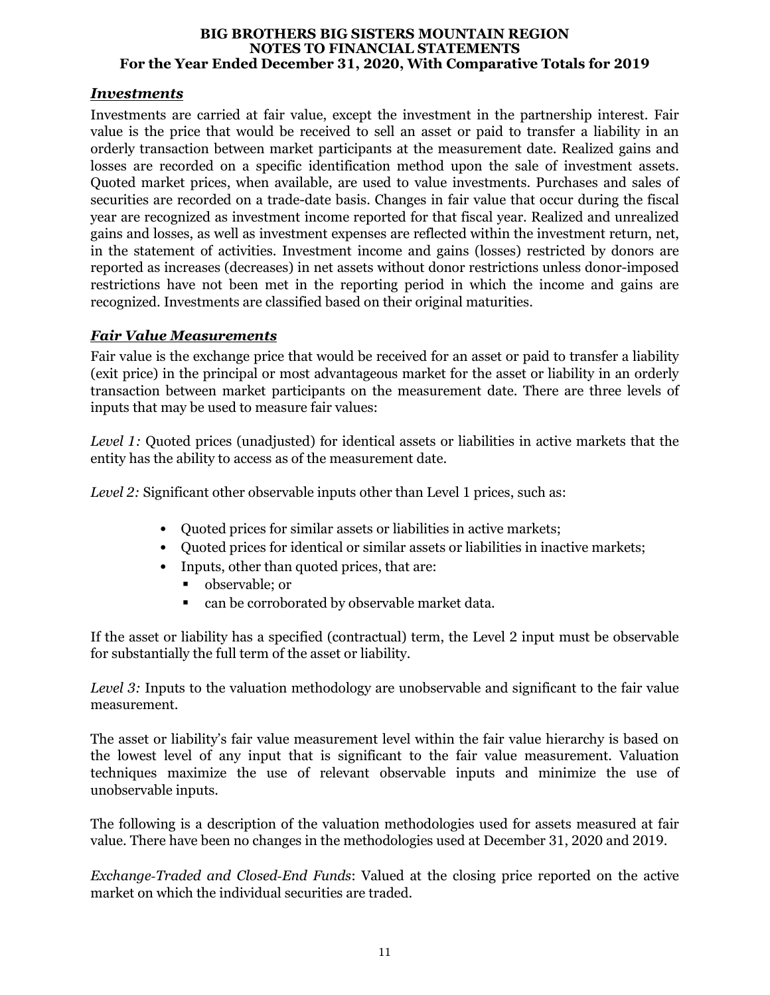## *Investments*

Investments are carried at fair value, except the investment in the partnership interest. Fair value is the price that would be received to sell an asset or paid to transfer a liability in an orderly transaction between market participants at the measurement date. Realized gains and losses are recorded on a specific identification method upon the sale of investment assets. Quoted market prices, when available, are used to value investments. Purchases and sales of securities are recorded on a trade-date basis. Changes in fair value that occur during the fiscal year are recognized as investment income reported for that fiscal year. Realized and unrealized gains and losses, as well as investment expenses are reflected within the investment return, net, in the statement of activities. Investment income and gains (losses) restricted by donors are reported as increases (decreases) in net assets without donor restrictions unless donor-imposed restrictions have not been met in the reporting period in which the income and gains are recognized. Investments are classified based on their original maturities.

## *Fair Value Measurements*

Fair value is the exchange price that would be received for an asset or paid to transfer a liability (exit price) in the principal or most advantageous market for the asset or liability in an orderly transaction between market participants on the measurement date. There are three levels of inputs that may be used to measure fair values:

*Level 1:* Quoted prices (unadjusted) for identical assets or liabilities in active markets that the entity has the ability to access as of the measurement date.

*Level 2:* Significant other observable inputs other than Level 1 prices, such as:

- Quoted prices for similar assets or liabilities in active markets;
- Quoted prices for identical or similar assets or liabilities in inactive markets;
- Inputs, other than quoted prices, that are:
	- observable; or
	- can be corroborated by observable market data.

If the asset or liability has a specified (contractual) term, the Level 2 input must be observable for substantially the full term of the asset or liability.

*Level 3:* Inputs to the valuation methodology are unobservable and significant to the fair value measurement.

The asset or liability's fair value measurement level within the fair value hierarchy is based on the lowest level of any input that is significant to the fair value measurement. Valuation techniques maximize the use of relevant observable inputs and minimize the use of unobservable inputs.

The following is a description of the valuation methodologies used for assets measured at fair value. There have been no changes in the methodologies used at December 31, 2020 and 2019.

*Exchange‐Traded and Closed‐End Funds*: Valued at the closing price reported on the active market on which the individual securities are traded.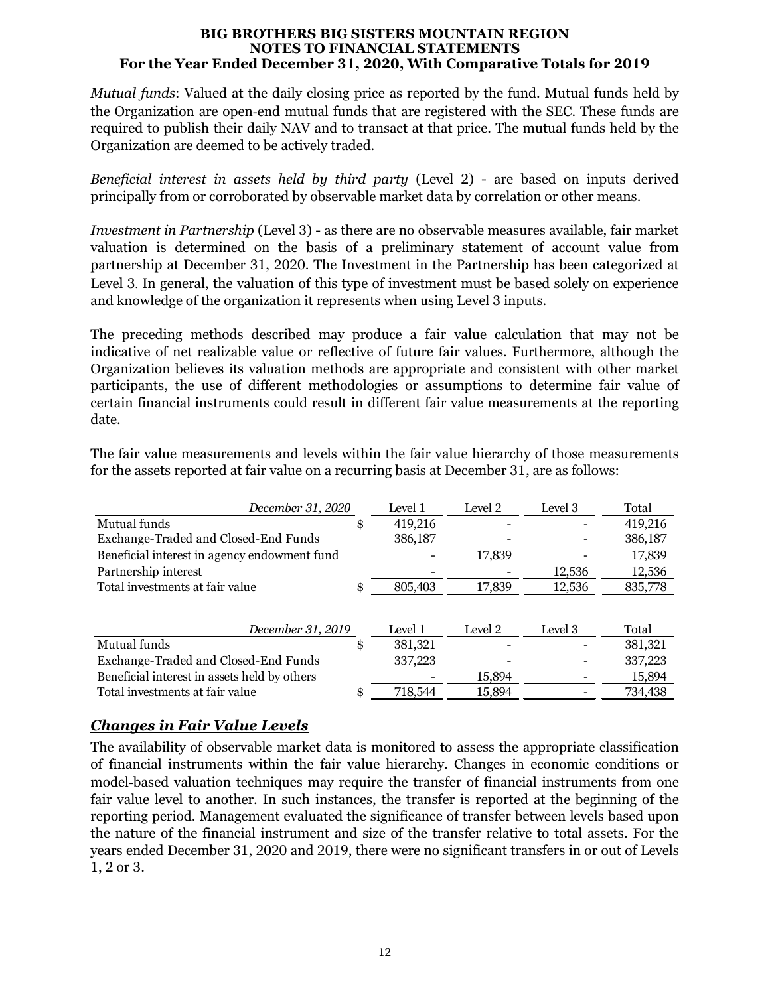*Mutual funds*: Valued at the daily closing price as reported by the fund. Mutual funds held by the Organization are open‐end mutual funds that are registered with the SEC. These funds are required to publish their daily NAV and to transact at that price. The mutual funds held by the Organization are deemed to be actively traded.

*Beneficial interest in assets held by third party* (Level 2) - are based on inputs derived principally from or corroborated by observable market data by correlation or other means.

*Investment in Partnership* (Level 3) - as there are no observable measures available, fair market valuation is determined on the basis of a preliminary statement of account value from partnership at December 31, 2020. The Investment in the Partnership has been categorized at Level 3. In general, the valuation of this type of investment must be based solely on experience and knowledge of the organization it represents when using Level 3 inputs.

The preceding methods described may produce a fair value calculation that may not be indicative of net realizable value or reflective of future fair values. Furthermore, although the Organization believes its valuation methods are appropriate and consistent with other market participants, the use of different methodologies or assumptions to determine fair value of certain financial instruments could result in different fair value measurements at the reporting date.

The fair value measurements and levels within the fair value hierarchy of those measurements for the assets reported at fair value on a recurring basis at December 31, are as follows:

| December 31, 2020                            | Level 1       | Level 2 | Level 3 | Total   |
|----------------------------------------------|---------------|---------|---------|---------|
| Mutual funds                                 | \$<br>419,216 |         |         | 419.216 |
| Exchange-Traded and Closed-End Funds         | 386,187       |         |         | 386,187 |
| Beneficial interest in agency endowment fund |               | 17,839  |         | 17,839  |
| Partnership interest                         |               |         | 12,536  | 12,536  |
| Total investments at fair value              | \$<br>805,403 | 17,839  | 12,536  | 835,778 |
|                                              |               |         |         |         |
| December 31, 2019                            | Level 1       | Level 2 | Level 3 | Total   |
| Mutual funds                                 | \$<br>381,321 |         |         | 381,321 |
| Exchange-Traded and Closed-End Funds         | 337,223       |         |         | 337,223 |
| Beneficial interest in assets held by others |               | 15,894  |         | 15,894  |
| Total investments at fair value              | \$<br>718,544 | 15,894  |         | 734,438 |

# *Changes in Fair Value Levels*

The availability of observable market data is monitored to assess the appropriate classification of financial instruments within the fair value hierarchy. Changes in economic conditions or model-based valuation techniques may require the transfer of financial instruments from one fair value level to another. In such instances, the transfer is reported at the beginning of the reporting period. Management evaluated the significance of transfer between levels based upon the nature of the financial instrument and size of the transfer relative to total assets. For the years ended December 31, 2020 and 2019, there were no significant transfers in or out of Levels 1, 2 or 3.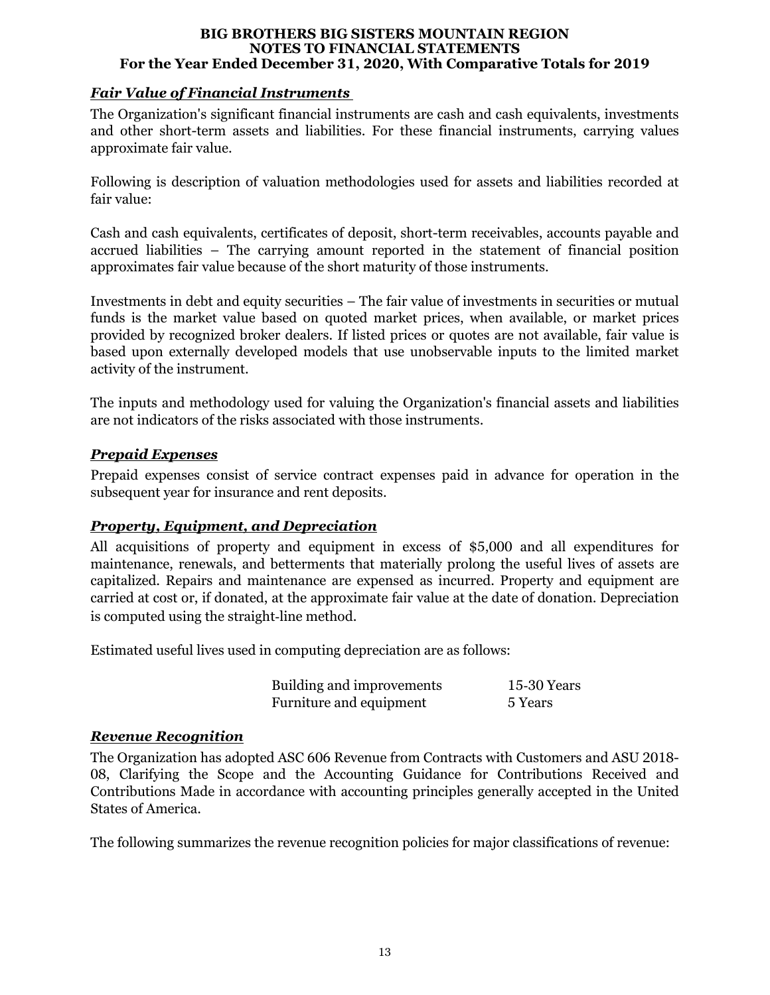## *Fair Value of Financial Instruments*

The Organization's significant financial instruments are cash and cash equivalents, investments and other short-term assets and liabilities. For these financial instruments, carrying values approximate fair value.

Following is description of valuation methodologies used for assets and liabilities recorded at fair value:

Cash and cash equivalents, certificates of deposit, short-term receivables, accounts payable and accrued liabilities – The carrying amount reported in the statement of financial position approximates fair value because of the short maturity of those instruments.

Investments in debt and equity securities – The fair value of investments in securities or mutual funds is the market value based on quoted market prices, when available, or market prices provided by recognized broker dealers. If listed prices or quotes are not available, fair value is based upon externally developed models that use unobservable inputs to the limited market activity of the instrument.

The inputs and methodology used for valuing the Organization's financial assets and liabilities are not indicators of the risks associated with those instruments.

## *Prepaid Expenses*

Prepaid expenses consist of service contract expenses paid in advance for operation in the subsequent year for insurance and rent deposits.

# *Property, Equipment, and Depreciation*

All acquisitions of property and equipment in excess of \$5,000 and all expenditures for maintenance, renewals, and betterments that materially prolong the useful lives of assets are capitalized. Repairs and maintenance are expensed as incurred. Property and equipment are carried at cost or, if donated, at the approximate fair value at the date of donation. Depreciation is computed using the straight‐line method.

Estimated useful lives used in computing depreciation are as follows:

| Building and improvements | 15-30 Years |
|---------------------------|-------------|
| Furniture and equipment   | 5 Years     |

## *Revenue Recognition*

The Organization has adopted ASC 606 Revenue from Contracts with Customers and ASU 2018- 08, Clarifying the Scope and the Accounting Guidance for Contributions Received and Contributions Made in accordance with accounting principles generally accepted in the United States of America.

The following summarizes the revenue recognition policies for major classifications of revenue: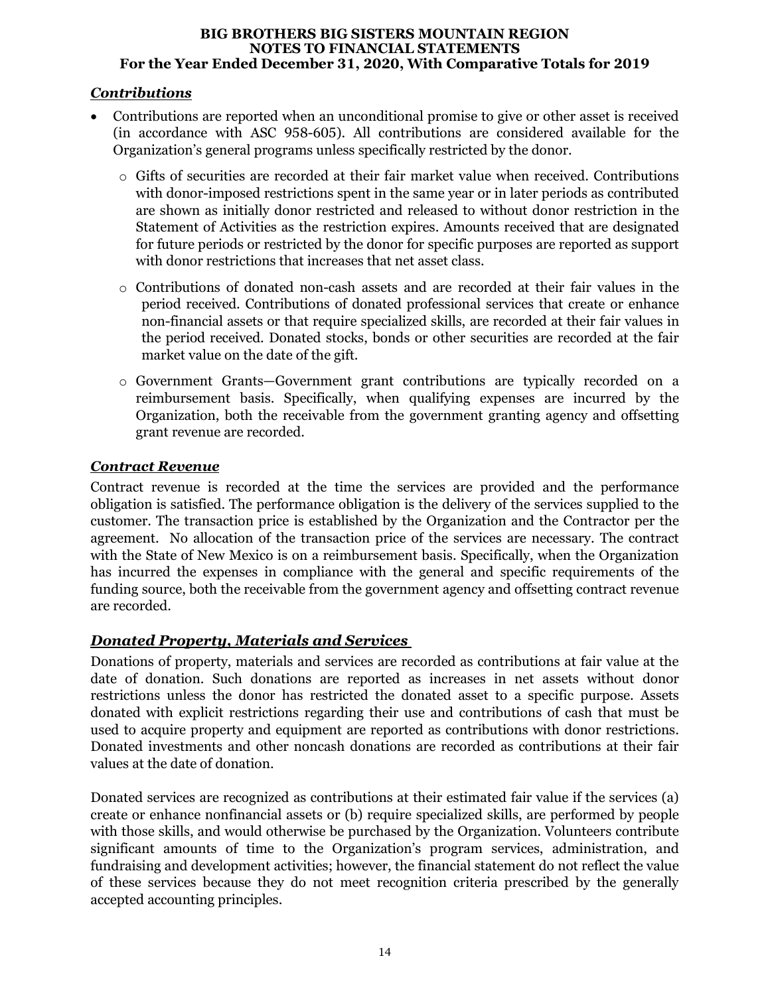# *Contributions*

- Contributions are reported when an unconditional promise to give or other asset is received (in accordance with ASC 958-605). All contributions are considered available for the Organization's general programs unless specifically restricted by the donor.
	- o Gifts of securities are recorded at their fair market value when received. Contributions with donor-imposed restrictions spent in the same year or in later periods as contributed are shown as initially donor restricted and released to without donor restriction in the Statement of Activities as the restriction expires. Amounts received that are designated for future periods or restricted by the donor for specific purposes are reported as support with donor restrictions that increases that net asset class.
	- o Contributions of donated non-cash assets and are recorded at their fair values in the period received. Contributions of donated professional services that create or enhance non-financial assets or that require specialized skills, are recorded at their fair values in the period received. Donated stocks, bonds or other securities are recorded at the fair market value on the date of the gift.
	- o Government Grants—Government grant contributions are typically recorded on a reimbursement basis. Specifically, when qualifying expenses are incurred by the Organization, both the receivable from the government granting agency and offsetting grant revenue are recorded.

## *Contract Revenue*

Contract revenue is recorded at the time the services are provided and the performance obligation is satisfied. The performance obligation is the delivery of the services supplied to the customer. The transaction price is established by the Organization and the Contractor per the agreement. No allocation of the transaction price of the services are necessary. The contract with the State of New Mexico is on a reimbursement basis. Specifically, when the Organization has incurred the expenses in compliance with the general and specific requirements of the funding source, both the receivable from the government agency and offsetting contract revenue are recorded.

# *Donated Property, Materials and Services*

Donations of property, materials and services are recorded as contributions at fair value at the date of donation. Such donations are reported as increases in net assets without donor restrictions unless the donor has restricted the donated asset to a specific purpose. Assets donated with explicit restrictions regarding their use and contributions of cash that must be used to acquire property and equipment are reported as contributions with donor restrictions. Donated investments and other noncash donations are recorded as contributions at their fair values at the date of donation.

Donated services are recognized as contributions at their estimated fair value if the services (a) create or enhance nonfinancial assets or (b) require specialized skills, are performed by people with those skills, and would otherwise be purchased by the Organization. Volunteers contribute significant amounts of time to the Organization's program services, administration, and fundraising and development activities; however, the financial statement do not reflect the value of these services because they do not meet recognition criteria prescribed by the generally accepted accounting principles.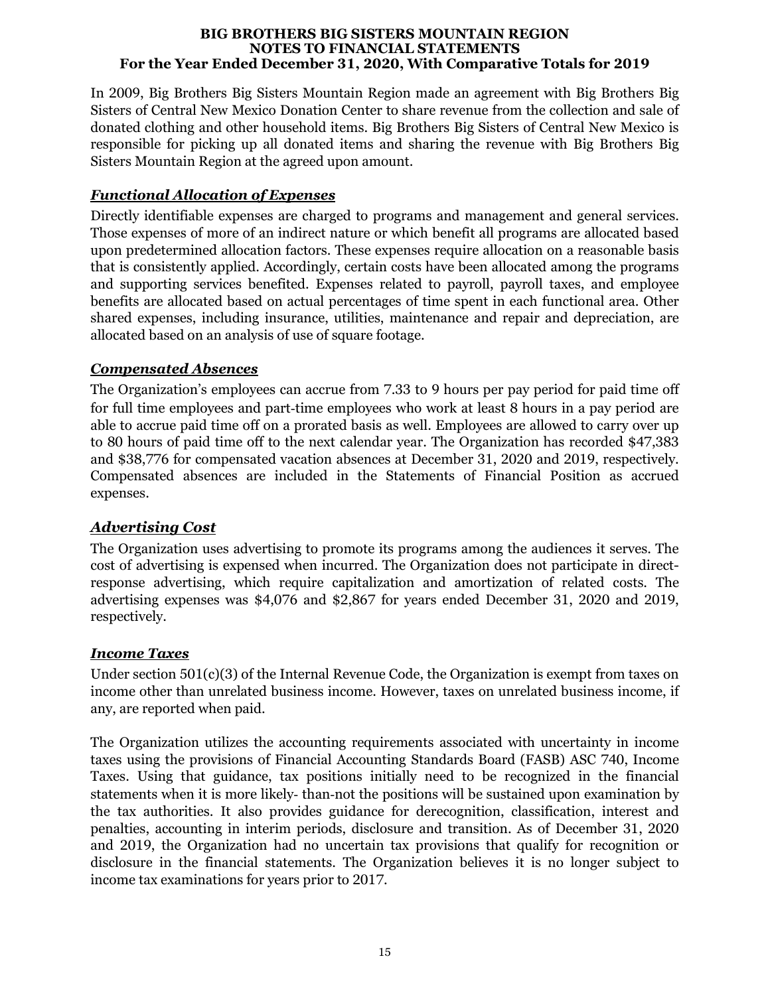In 2009, Big Brothers Big Sisters Mountain Region made an agreement with Big Brothers Big Sisters of Central New Mexico Donation Center to share revenue from the collection and sale of donated clothing and other household items. Big Brothers Big Sisters of Central New Mexico is responsible for picking up all donated items and sharing the revenue with Big Brothers Big Sisters Mountain Region at the agreed upon amount.

# *Functional Allocation of Expenses*

Directly identifiable expenses are charged to programs and management and general services. Those expenses of more of an indirect nature or which benefit all programs are allocated based upon predetermined allocation factors. These expenses require allocation on a reasonable basis that is consistently applied. Accordingly, certain costs have been allocated among the programs and supporting services benefited. Expenses related to payroll, payroll taxes, and employee benefits are allocated based on actual percentages of time spent in each functional area. Other shared expenses, including insurance, utilities, maintenance and repair and depreciation, are allocated based on an analysis of use of square footage.

# *Compensated Absences*

The Organization's employees can accrue from 7.33 to 9 hours per pay period for paid time off for full time employees and part‐time employees who work at least 8 hours in a pay period are able to accrue paid time off on a prorated basis as well. Employees are allowed to carry over up to 80 hours of paid time off to the next calendar year. The Organization has recorded \$47,383 and \$38,776 for compensated vacation absences at December 31, 2020 and 2019, respectively. Compensated absences are included in the Statements of Financial Position as accrued expenses.

# *Advertising Cost*

The Organization uses advertising to promote its programs among the audiences it serves. The cost of advertising is expensed when incurred. The Organization does not participate in directresponse advertising, which require capitalization and amortization of related costs. The advertising expenses was \$4,076 and \$2,867 for years ended December 31, 2020 and 2019, respectively.

## *Income Taxes*

Under section 501(c)(3) of the Internal Revenue Code, the Organization is exempt from taxes on income other than unrelated business income. However, taxes on unrelated business income, if any, are reported when paid.

The Organization utilizes the accounting requirements associated with uncertainty in income taxes using the provisions of Financial Accounting Standards Board (FASB) ASC 740, Income Taxes. Using that guidance, tax positions initially need to be recognized in the financial statements when it is more likely‐ than‐not the positions will be sustained upon examination by the tax authorities. It also provides guidance for derecognition, classification, interest and penalties, accounting in interim periods, disclosure and transition. As of December 31, 2020 and 2019, the Organization had no uncertain tax provisions that qualify for recognition or disclosure in the financial statements. The Organization believes it is no longer subject to income tax examinations for years prior to 2017.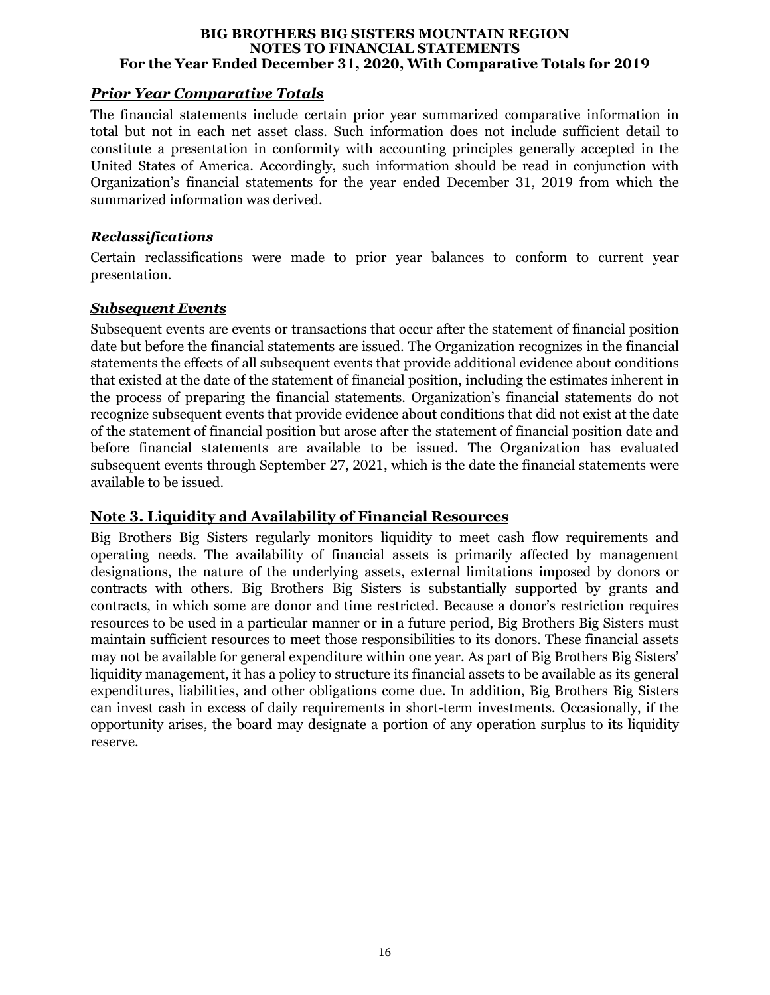# *Prior Year Comparative Totals*

The financial statements include certain prior year summarized comparative information in total but not in each net asset class. Such information does not include sufficient detail to constitute a presentation in conformity with accounting principles generally accepted in the United States of America. Accordingly, such information should be read in conjunction with Organization's financial statements for the year ended December 31, 2019 from which the summarized information was derived.

## *Reclassifications*

Certain reclassifications were made to prior year balances to conform to current year presentation.

## *Subsequent Events*

Subsequent events are events or transactions that occur after the statement of financial position date but before the financial statements are issued. The Organization recognizes in the financial statements the effects of all subsequent events that provide additional evidence about conditions that existed at the date of the statement of financial position, including the estimates inherent in the process of preparing the financial statements. Organization's financial statements do not recognize subsequent events that provide evidence about conditions that did not exist at the date of the statement of financial position but arose after the statement of financial position date and before financial statements are available to be issued. The Organization has evaluated subsequent events through September 27, 2021, which is the date the financial statements were available to be issued.

## **Note 3. Liquidity and Availability of Financial Resources**

Big Brothers Big Sisters regularly monitors liquidity to meet cash flow requirements and operating needs. The availability of financial assets is primarily affected by management designations, the nature of the underlying assets, external limitations imposed by donors or contracts with others. Big Brothers Big Sisters is substantially supported by grants and contracts, in which some are donor and time restricted. Because a donor's restriction requires resources to be used in a particular manner or in a future period, Big Brothers Big Sisters must maintain sufficient resources to meet those responsibilities to its donors. These financial assets may not be available for general expenditure within one year. As part of Big Brothers Big Sisters' liquidity management, it has a policy to structure its financial assets to be available as its general expenditures, liabilities, and other obligations come due. In addition, Big Brothers Big Sisters can invest cash in excess of daily requirements in short-term investments. Occasionally, if the opportunity arises, the board may designate a portion of any operation surplus to its liquidity reserve.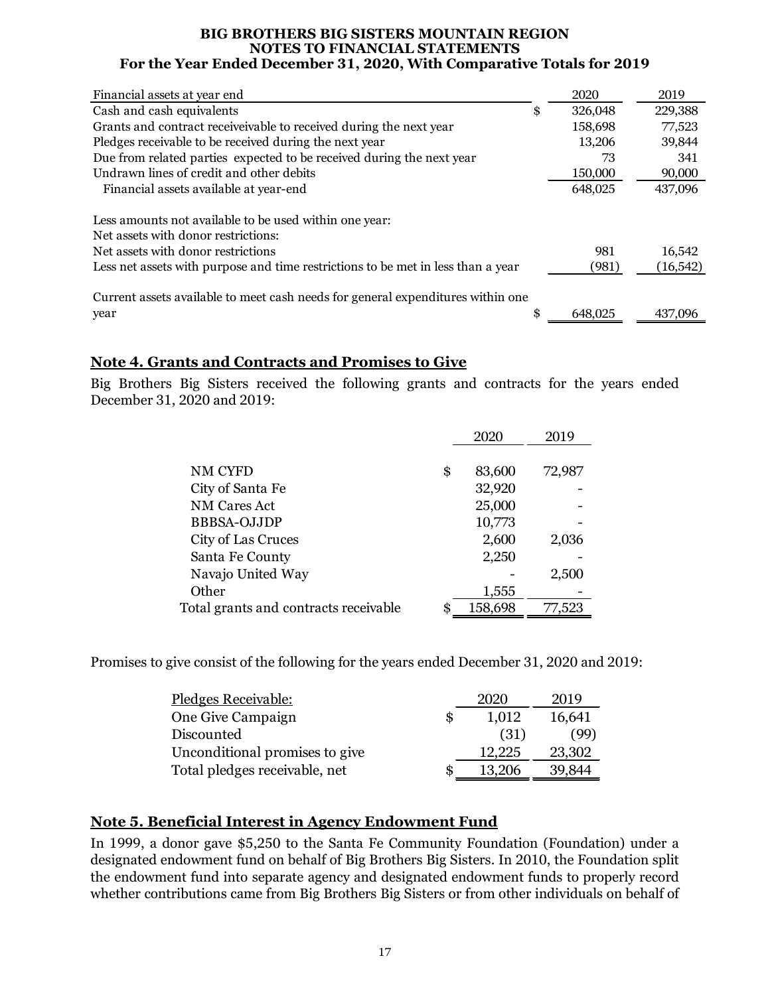| Financial assets at year end                                                     | 2020          | 2019      |
|----------------------------------------------------------------------------------|---------------|-----------|
| Cash and cash equivalents                                                        | \$<br>326,048 | 229,388   |
| Grants and contract receiveivable to received during the next year               | 158,698       | 77,523    |
| Pledges receivable to be received during the next year                           | 13,206        | 39,844    |
| Due from related parties expected to be received during the next year            | 73            | 341       |
| Undrawn lines of credit and other debits                                         | 150,000       | 90,000    |
| Financial assets available at year-end                                           | 648,025       | 437,096   |
| Less amounts not available to be used within one year:                           |               |           |
| Net assets with donor restrictions:                                              |               |           |
| Net assets with donor restrictions                                               | 981           | 16,542    |
| Less net assets with purpose and time restrictions to be met in less than a year | (981)         | (16, 542) |
| Current assets available to meet cash needs for general expenditures within one  |               |           |
| year                                                                             | \$<br>648,025 | 437,096   |

# **Note 4. Grants and Contracts and Promises to Give**

Big Brothers Big Sisters received the following grants and contracts for the years ended December 31, 2020 and 2019:

|                                       | 2020          | 2019   |
|---------------------------------------|---------------|--------|
|                                       |               |        |
| NM CYFD                               | \$<br>83,600  | 72,987 |
| City of Santa Fe                      | 32,920        |        |
| <b>NM Cares Act</b>                   | 25,000        |        |
| <b>BBBSA-OJJDP</b>                    | 10,773        |        |
| <b>City of Las Cruces</b>             | 2,600         | 2,036  |
| Santa Fe County                       | 2,250         |        |
| Navajo United Way                     |               | 2,500  |
| Other                                 | 1,555         |        |
| Total grants and contracts receivable | \$<br>158,698 | 77,523 |

Promises to give consist of the following for the years ended December 31, 2020 and 2019:

| <u>Pledges Receivable:</u>     |     | 2020   | 2019   |
|--------------------------------|-----|--------|--------|
| One Give Campaign              | \$. | 1,012  | 16,641 |
| Discounted                     |     | (31)   | (99)   |
| Unconditional promises to give |     | 12.225 | 23,302 |
| Total pledges receivable, net  | \$  | 13.206 |        |

# **Note 5. Beneficial Interest in Agency Endowment Fund**

In 1999, a donor gave \$5,250 to the Santa Fe Community Foundation (Foundation) under a designated endowment fund on behalf of Big Brothers Big Sisters. In 2010, the Foundation split the endowment fund into separate agency and designated endowment funds to properly record whether contributions came from Big Brothers Big Sisters or from other individuals on behalf of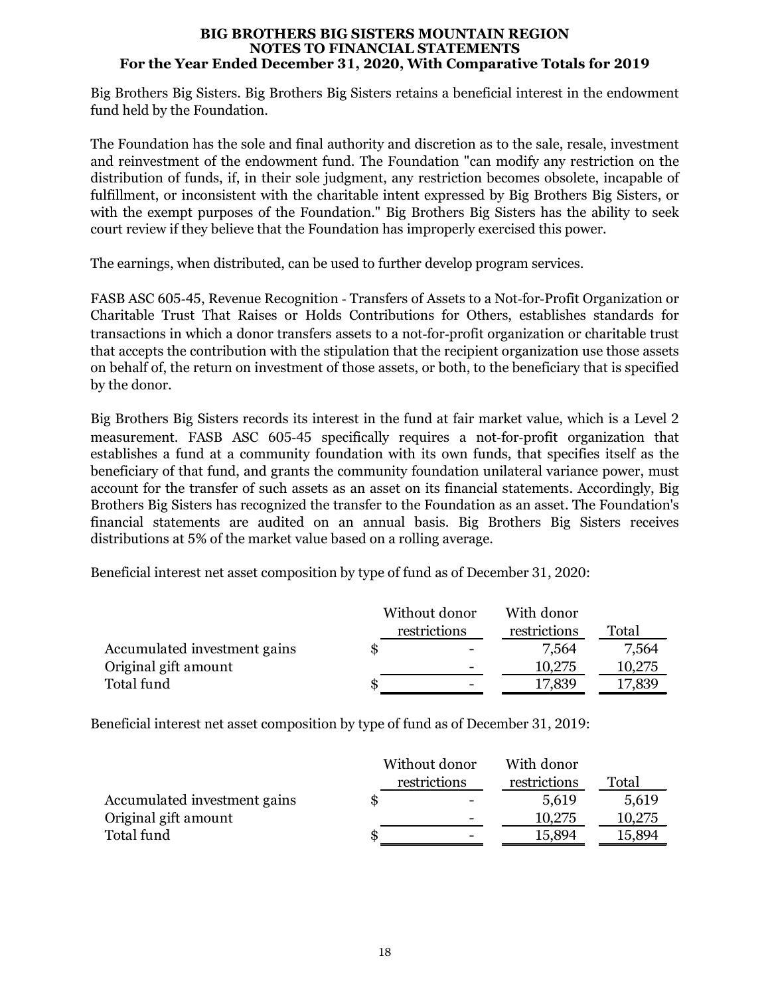Big Brothers Big Sisters. Big Brothers Big Sisters retains a beneficial interest in the endowment fund held by the Foundation.

The Foundation has the sole and final authority and discretion as to the sale, resale, investment and reinvestment of the endowment fund. The Foundation "can modify any restriction on the distribution of funds, if, in their sole judgment, any restriction becomes obsolete, incapable of fulfillment, or inconsistent with the charitable intent expressed by Big Brothers Big Sisters, or with the exempt purposes of the Foundation." Big Brothers Big Sisters has the ability to seek court review if they believe that the Foundation has improperly exercised this power.

The earnings, when distributed, can be used to further develop program services.

FASB ASC 605‐45, Revenue Recognition ‐ Transfers of Assets to a Not‐for‐Profit Organization or Charitable Trust That Raises or Holds Contributions for Others, establishes standards for transactions in which a donor transfers assets to a not‐for‐profit organization or charitable trust that accepts the contribution with the stipulation that the recipient organization use those assets on behalf of, the return on investment of those assets, or both, to the beneficiary that is specified by the donor.

Big Brothers Big Sisters records its interest in the fund at fair market value, which is a Level 2 measurement. FASB ASC 605‐45 specifically requires a not‐for‐profit organization that establishes a fund at a community foundation with its own funds, that specifies itself as the beneficiary of that fund, and grants the community foundation unilateral variance power, must account for the transfer of such assets as an asset on its financial statements. Accordingly, Big Brothers Big Sisters has recognized the transfer to the Foundation as an asset. The Foundation's financial statements are audited on an annual basis. Big Brothers Big Sisters receives distributions at 5% of the market value based on a rolling average.

Beneficial interest net asset composition by type of fund as of December 31, 2020:

|                              | Without donor            | With donor   |        |
|------------------------------|--------------------------|--------------|--------|
|                              | restrictions             | restrictions | Total  |
| Accumulated investment gains | $\overline{\phantom{0}}$ | 7,564        | 7,564  |
| Original gift amount         | $\overline{\phantom{0}}$ | 10,275       | 10,275 |
| Total fund                   | $\overline{\phantom{0}}$ | 17,839       | ,839   |

Beneficial interest net asset composition by type of fund as of December 31, 2019:

|                              | Without donor            | With donor   |        |
|------------------------------|--------------------------|--------------|--------|
|                              | restrictions             | restrictions | Total  |
| Accumulated investment gains | $\overline{\phantom{0}}$ | 5,619        | 5,619  |
| Original gift amount         | $\overline{\phantom{0}}$ | 10,275       | 10,275 |
| Total fund                   |                          | 15,894       | 15,894 |
|                              |                          |              |        |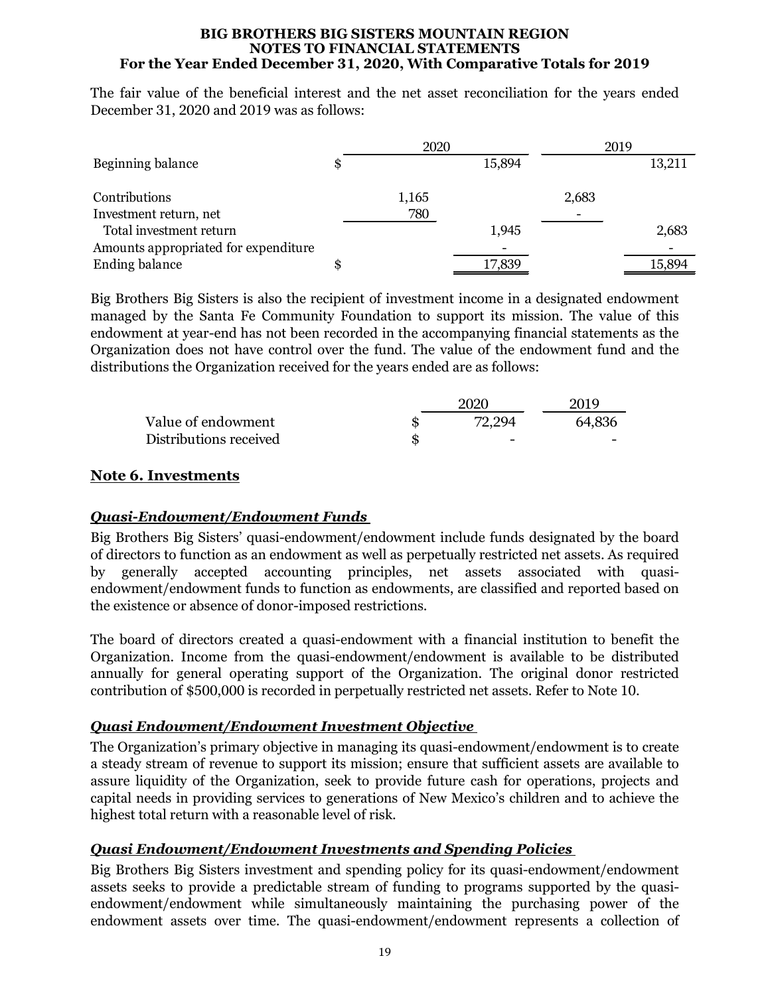The fair value of the beneficial interest and the net asset reconciliation for the years ended December 31, 2020 and 2019 was as follows:

|                                      | 2020  |        | 2019  |        |
|--------------------------------------|-------|--------|-------|--------|
| Beginning balance                    | \$    | 15,894 |       | 13,211 |
| Contributions                        | 1,165 |        | 2,683 |        |
| Investment return, net               | 780   |        |       |        |
| Total investment return              |       | 1,945  |       | 2,683  |
| Amounts appropriated for expenditure |       |        |       |        |
| <b>Ending balance</b>                | \$    | 17,839 |       | 15,894 |

Big Brothers Big Sisters is also the recipient of investment income in a designated endowment managed by the Santa Fe Community Foundation to support its mission. The value of this endowment at year-end has not been recorded in the accompanying financial statements as the Organization does not have control over the fund. The value of the endowment fund and the distributions the Organization received for the years ended are as follows:

|                        |   | 2020                     | 2019   |
|------------------------|---|--------------------------|--------|
| Value of endowment     |   | 72.294                   | 64,836 |
| Distributions received | S | $\overline{\phantom{0}}$ | -      |

## **Note 6. Investments**

## *Quasi-Endowment/Endowment Funds*

Big Brothers Big Sisters' quasi-endowment/endowment include funds designated by the board of directors to function as an endowment as well as perpetually restricted net assets. As required by generally accepted accounting principles, net assets associated with quasiendowment/endowment funds to function as endowments, are classified and reported based on the existence or absence of donor-imposed restrictions.

The board of directors created a quasi-endowment with a financial institution to benefit the Organization. Income from the quasi-endowment/endowment is available to be distributed annually for general operating support of the Organization. The original donor restricted contribution of \$500,000 is recorded in perpetually restricted net assets. Refer to Note 10.

# *Quasi Endowment/Endowment Investment Objective*

The Organization's primary objective in managing its quasi-endowment/endowment is to create a steady stream of revenue to support its mission; ensure that sufficient assets are available to assure liquidity of the Organization, seek to provide future cash for operations, projects and capital needs in providing services to generations of New Mexico's children and to achieve the highest total return with a reasonable level of risk.

# *Quasi Endowment/Endowment Investments and Spending Policies*

Big Brothers Big Sisters investment and spending policy for its quasi-endowment/endowment assets seeks to provide a predictable stream of funding to programs supported by the quasiendowment/endowment while simultaneously maintaining the purchasing power of the endowment assets over time. The quasi-endowment/endowment represents a collection of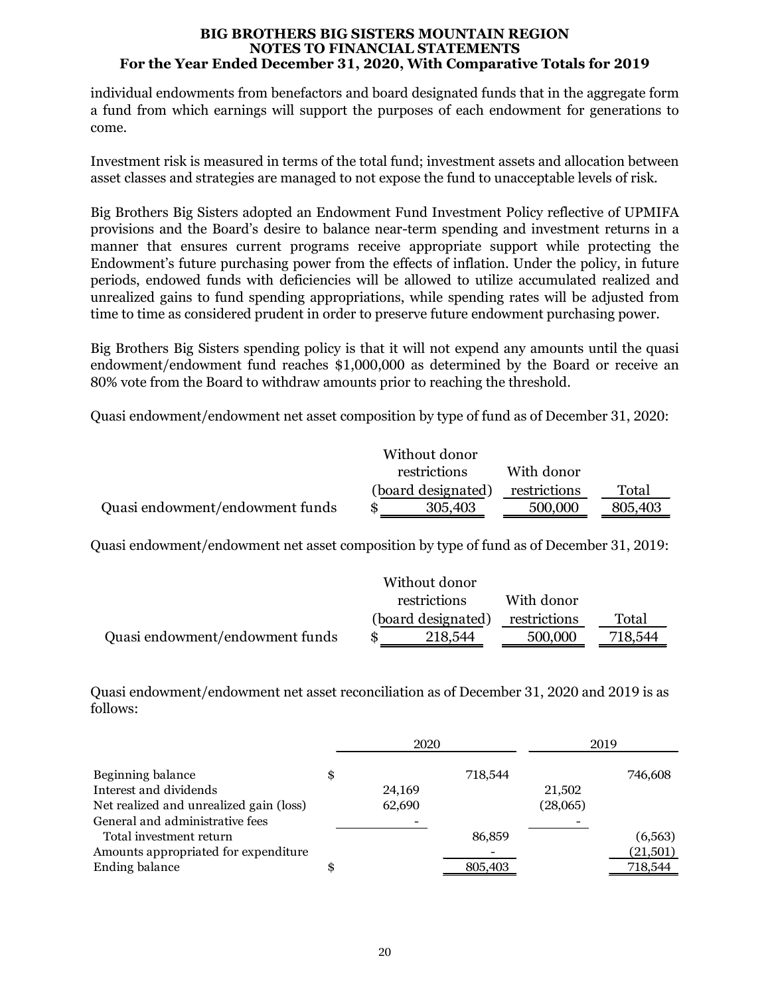individual endowments from benefactors and board designated funds that in the aggregate form a fund from which earnings will support the purposes of each endowment for generations to come.

Investment risk is measured in terms of the total fund; investment assets and allocation between asset classes and strategies are managed to not expose the fund to unacceptable levels of risk.

Big Brothers Big Sisters adopted an Endowment Fund Investment Policy reflective of UPMIFA provisions and the Board's desire to balance near-term spending and investment returns in a manner that ensures current programs receive appropriate support while protecting the Endowment's future purchasing power from the effects of inflation. Under the policy, in future periods, endowed funds with deficiencies will be allowed to utilize accumulated realized and unrealized gains to fund spending appropriations, while spending rates will be adjusted from time to time as considered prudent in order to preserve future endowment purchasing power.

Big Brothers Big Sisters spending policy is that it will not expend any amounts until the quasi endowment/endowment fund reaches \$1,000,000 as determined by the Board or receive an 80% vote from the Board to withdraw amounts prior to reaching the threshold.

Quasi endowment/endowment net asset composition by type of fund as of December 31, 2020:

|                                 | Without donor      |              |         |
|---------------------------------|--------------------|--------------|---------|
|                                 | restrictions       | With donor   |         |
|                                 | (board designated) | restrictions | Total   |
| Quasi endowment/endowment funds | 305,403            | 500,000      | 805,403 |

Quasi endowment/endowment net asset composition by type of fund as of December 31, 2019:

|                                 | Without donor      |              |         |
|---------------------------------|--------------------|--------------|---------|
|                                 | restrictions       | With donor   |         |
|                                 | (board designated) | restrictions | Total   |
| Quasi endowment/endowment funds | 218,544            | 500,000      | 718,544 |

Quasi endowment/endowment net asset reconciliation as of December 31, 2020 and 2019 is as follows:

|                                         | 2020   | 2019    |          |           |
|-----------------------------------------|--------|---------|----------|-----------|
| Beginning balance                       | \$     | 718,544 |          | 746,608   |
| Interest and dividends                  | 24,169 |         | 21,502   |           |
| Net realized and unrealized gain (loss) | 62,690 |         | (28,065) |           |
| General and administrative fees         |        |         |          |           |
| Total investment return                 |        | 86,859  |          | (6, 563)  |
| Amounts appropriated for expenditure    |        |         |          | (21, 501) |
| Ending balance                          | \$     | 805,403 |          | 718,544   |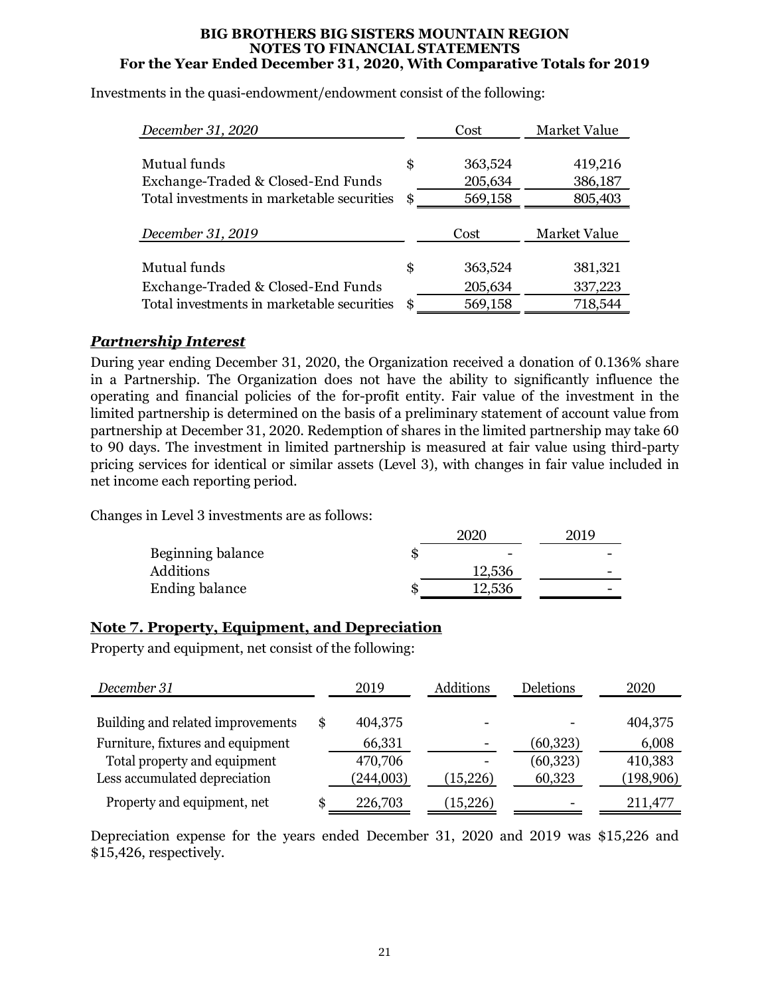| December 31, 2020                          | Cost          | Market Value |
|--------------------------------------------|---------------|--------------|
|                                            |               |              |
| Mutual funds                               | \$<br>363,524 | 419,216      |
| Exchange-Traded & Closed-End Funds         | 205,634       | 386,187      |
| Total investments in marketable securities | \$<br>569,158 | 805,403      |
|                                            |               |              |
|                                            |               |              |
| December 31, 2019                          | Cost          | Market Value |
|                                            |               |              |
| Mutual funds                               | \$<br>363,524 | 381,321      |
| Exchange-Traded & Closed-End Funds         | 205,634       | 337,223      |
| Total investments in marketable securities | \$<br>569,158 | 718,544      |

Investments in the quasi-endowment/endowment consist of the following:

## *Partnership Interest*

During year ending December 31, 2020, the Organization received a donation of 0.136% share in a Partnership. The Organization does not have the ability to significantly influence the operating and financial policies of the for-profit entity. Fair value of the investment in the limited partnership is determined on the basis of a preliminary statement of account value from partnership at December 31, 2020. Redemption of shares in the limited partnership may take 60 to 90 days. The investment in limited partnership is measured at fair value using third-party pricing services for identical or similar assets (Level 3), with changes in fair value included in net income each reporting period.

Changes in Level 3 investments are as follows:

|                   | 2020   | 2019 |
|-------------------|--------|------|
| Beginning balance | -      | -    |
| Additions         | 12,536 | -    |
| Ending balance    | 12,536 | -    |

# **Note 7. Property, Equipment, and Depreciation**

Property and equipment, net consist of the following:

| December 31                       | 2019      | Additions | Deletions | 2020       |
|-----------------------------------|-----------|-----------|-----------|------------|
| Building and related improvements | 404,375   |           |           | 404,375    |
| Furniture, fixtures and equipment | 66,331    |           | (60, 323) | 6,008      |
| Total property and equipment      | 470,706   |           | (60, 323) | 410,383    |
| Less accumulated depreciation     | (244,003) | (15, 226) | 60,323    | (198, 906) |
| Property and equipment, net       | 226,703   | (15,226)  | -         | 211,477    |

Depreciation expense for the years ended December 31, 2020 and 2019 was \$15,226 and \$15,426, respectively.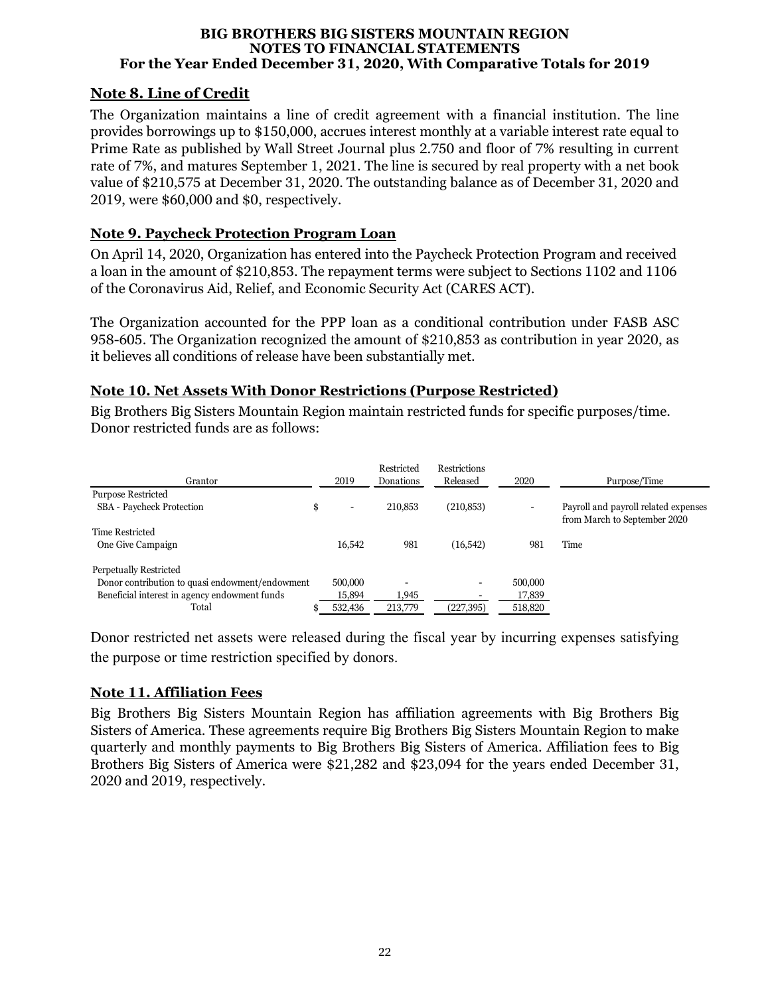# **Note 8. Line of Credit**

The Organization maintains a line of credit agreement with a financial institution. The line provides borrowings up to \$150,000, accrues interest monthly at a variable interest rate equal to Prime Rate as published by Wall Street Journal plus 2.750 and floor of 7% resulting in current rate of 7%, and matures September 1, 2021. The line is secured by real property with a net book value of \$210,575 at December 31, 2020. The outstanding balance as of December 31, 2020 and 2019, were \$60,000 and \$0, respectively.

# **Note 9. Paycheck Protection Program Loan**

On April 14, 2020, Organization has entered into the Paycheck Protection Program and received a loan in the amount of \$210,853. The repayment terms were subject to Sections 1102 and 1106 of the Coronavirus Aid, Relief, and Economic Security Act (CARES ACT).

The Organization accounted for the PPP loan as a conditional contribution under FASB ASC 958-605. The Organization recognized the amount of \$210,853 as contribution in year 2020, as it believes all conditions of release have been substantially met.

## **Note 10. Net Assets With Donor Restrictions (Purpose Restricted)**

Big Brothers Big Sisters Mountain Region maintain restricted funds for specific purposes/time. Donor restricted funds are as follows:

| Grantor                                         | 2019                           | Restricted<br>Donations | <b>Restrictions</b><br>Released | 2020                     | Purpose/Time                                                         |
|-------------------------------------------------|--------------------------------|-------------------------|---------------------------------|--------------------------|----------------------------------------------------------------------|
| Purpose Restricted                              |                                |                         |                                 |                          |                                                                      |
| <b>SBA</b> - Paycheck Protection                | \$<br>$\overline{\phantom{a}}$ | 210,853                 | (210, 853)                      | $\overline{\phantom{0}}$ | Payroll and payroll related expenses<br>from March to September 2020 |
| Time Restricted                                 |                                |                         |                                 |                          |                                                                      |
| One Give Campaign                               | 16.542                         | 981                     | (16, 542)                       | 981                      | Time                                                                 |
| Perpetually Restricted                          |                                |                         |                                 |                          |                                                                      |
| Donor contribution to quasi endowment/endowment | 500,000                        |                         |                                 | 500,000                  |                                                                      |
| Beneficial interest in agency endowment funds   | 15,894                         | 1,945                   |                                 | 17,839                   |                                                                      |
| Total                                           | 532,436                        | 213,779                 | (227, 395)                      | 518,820                  |                                                                      |

Donor restricted net assets were released during the fiscal year by incurring expenses satisfying the purpose or time restriction specified by donors.

# **Note 11. Affiliation Fees**

Big Brothers Big Sisters Mountain Region has affiliation agreements with Big Brothers Big Sisters of America. These agreements require Big Brothers Big Sisters Mountain Region to make quarterly and monthly payments to Big Brothers Big Sisters of America. Affiliation fees to Big Brothers Big Sisters of America were \$21,282 and \$23,094 for the years ended December 31, 2020 and 2019, respectively.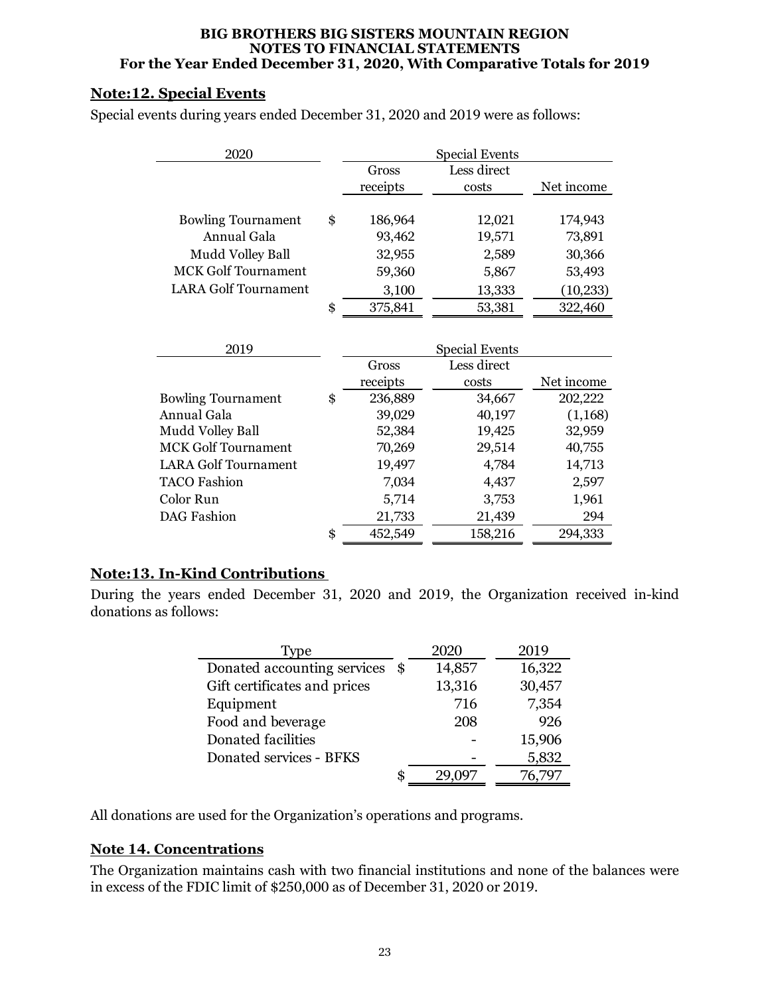# **Note:12. Special Events**

Special events during years ended December 31, 2020 and 2019 were as follows:

| 2020                        |               | <b>Special Events</b> |            |
|-----------------------------|---------------|-----------------------|------------|
|                             | Gross         | Less direct           |            |
|                             | receipts      | costs                 | Net income |
|                             |               |                       |            |
| <b>Bowling Tournament</b>   | \$<br>186,964 | 12,021                | 174,943    |
| Annual Gala                 | 93,462        | 19,571                | 73,891     |
| Mudd Volley Ball            | 32,955        | 2,589                 | 30,366     |
| <b>MCK Golf Tournament</b>  | 59,360        | 5,867                 | 53,493     |
| <b>LARA Golf Tournament</b> | 3,100         | 13,333                | (10, 233)  |
|                             | \$<br>375,841 | 53,381                | 322,460    |
|                             |               |                       |            |

| 2019                        | <b>Special Events</b> |         |            |  |  |
|-----------------------------|-----------------------|---------|------------|--|--|
|                             | Less direct<br>Gross  |         |            |  |  |
|                             | receipts              | costs   | Net income |  |  |
| <b>Bowling Tournament</b>   | \$<br>236,889         | 34,667  | 202,222    |  |  |
| Annual Gala                 | 39,029                | 40,197  | (1,168)    |  |  |
| Mudd Volley Ball            | 52,384                | 19,425  | 32,959     |  |  |
| <b>MCK Golf Tournament</b>  | 70,269                | 29,514  | 40,755     |  |  |
| <b>LARA Golf Tournament</b> | 19,497                | 4,784   | 14,713     |  |  |
| <b>TACO Fashion</b>         | 7,034                 | 4,437   | 2,597      |  |  |
| Color Run                   | 5,714                 | 3,753   | 1,961      |  |  |
| DAG Fashion                 | 21,733                | 21,439  | 294        |  |  |
|                             | \$<br>452,549         | 158,216 | 294,333    |  |  |

# **Note:13. In-Kind Contributions**

During the years ended December 31, 2020 and 2019, the Organization received in-kind donations as follows:

| Type                         |   | 2020   | 2019   |
|------------------------------|---|--------|--------|
| Donated accounting services  |   | 14,857 | 16,322 |
| Gift certificates and prices |   | 13,316 | 30,457 |
| Equipment                    |   | 716    | 7,354  |
| Food and beverage            |   | 208    | 926    |
| Donated facilities           |   |        | 15,906 |
| Donated services - BFKS      |   |        | 5,832  |
|                              | S |        |        |

All donations are used for the Organization's operations and programs.

## **Note 14. Concentrations**

The Organization maintains cash with two financial institutions and none of the balances were in excess of the FDIC limit of \$250,000 as of December 31, 2020 or 2019.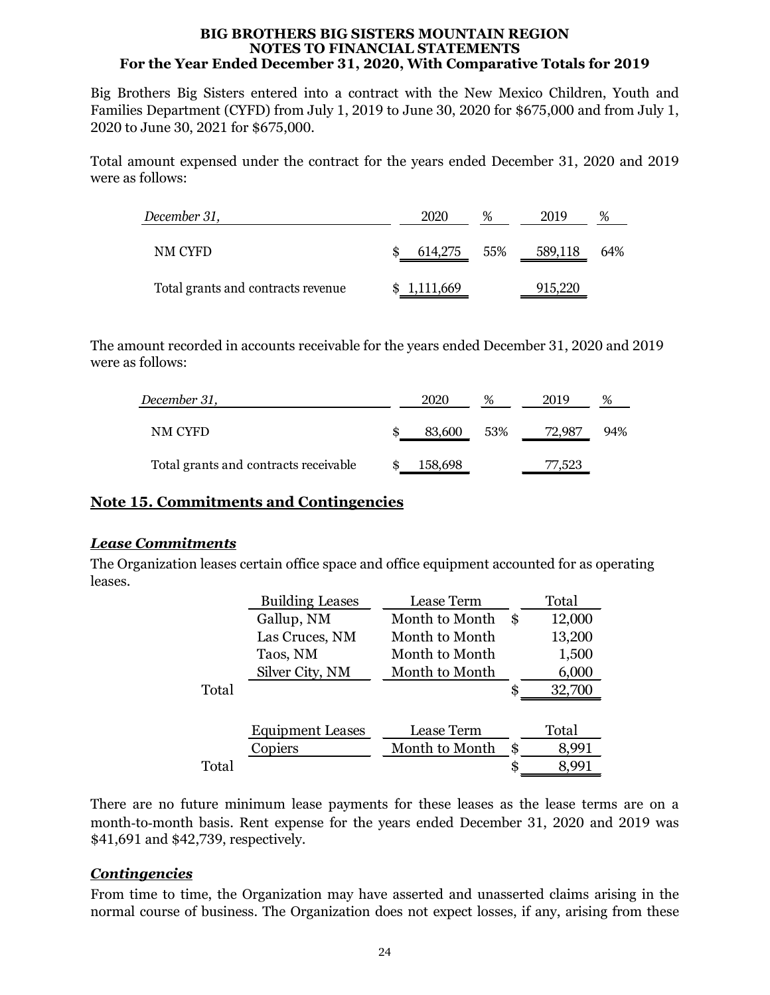Big Brothers Big Sisters entered into a contract with the New Mexico Children, Youth and Families Department (CYFD) from July 1, 2019 to June 30, 2020 for \$675,000 and from July 1, 2020 to June 30, 2021 for \$675,000.

Total amount expensed under the contract for the years ended December 31, 2020 and 2019 were as follows:

| December 31,                       | 2020        | % | 2019    | %   |
|------------------------------------|-------------|---|---------|-----|
| NM CYFD                            | 614,275 55% |   | 589,118 | 64% |
| Total grants and contracts revenue | 1,111,669   |   | 915,220 |     |

The amount recorded in accounts receivable for the years ended December 31, 2020 and 2019 were as follows:

| December 31,                          |         | %   | 2019   | %   |
|---------------------------------------|---------|-----|--------|-----|
| NM CYFD                               | 83,600  | 53% | 72.987 | 94% |
| Total grants and contracts receivable | 158,698 |     | 77,523 |     |

## **Note 15. Commitments and Contingencies**

## *Lease Commitments*

The Organization leases certain office space and office equipment accounted for as operating leases.

| <b>Building Leases</b>  | <b>Lease Term</b> |    | Total  |
|-------------------------|-------------------|----|--------|
| Gallup, NM              | Month to Month    | \$ | 12,000 |
| Las Cruces, NM          | Month to Month    |    | 13,200 |
| Taos, NM                | Month to Month    |    | 1,500  |
| Silver City, NM         | Month to Month    |    | 6,000  |
|                         |                   | S  | 32,700 |
|                         |                   |    |        |
| <b>Equipment Leases</b> | Lease Term        |    | Total  |
| Copiers                 | Month to Month    | \$ | 8,991  |
|                         |                   | ß, | 8,991  |
|                         |                   |    |        |

There are no future minimum lease payments for these leases as the lease terms are on a month-to-month basis. Rent expense for the years ended December 31, 2020 and 2019 was \$41,691 and \$42,739, respectively.

# *Contingencies*

From time to time, the Organization may have asserted and unasserted claims arising in the normal course of business. The Organization does not expect losses, if any, arising from these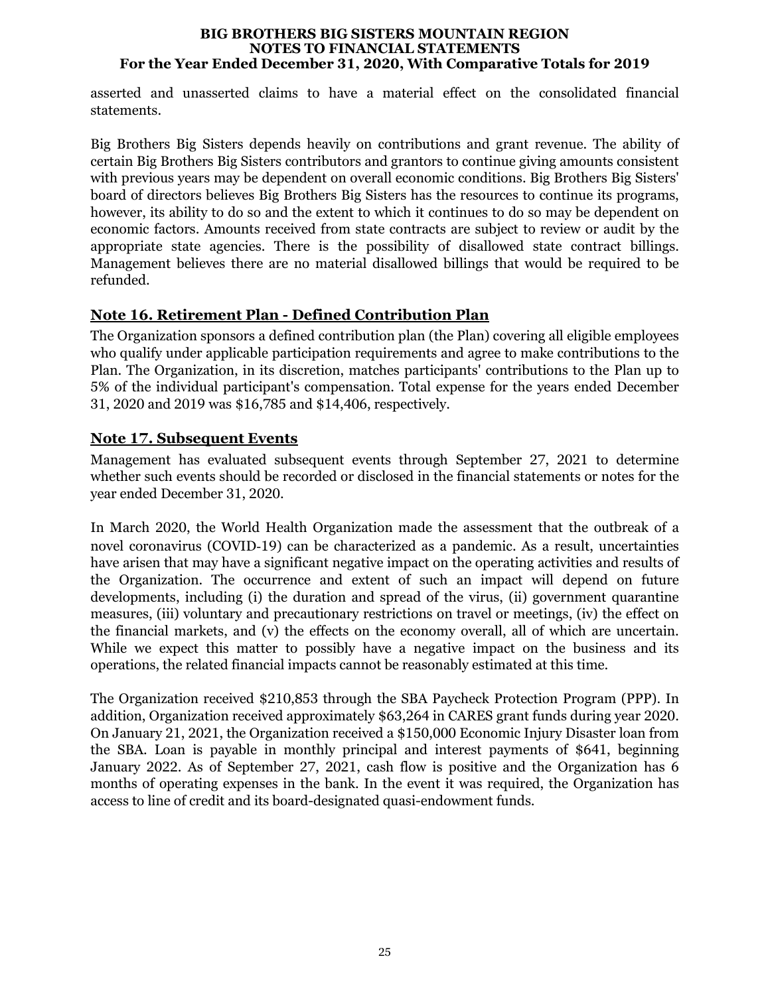asserted and unasserted claims to have a material effect on the consolidated financial statements.

Big Brothers Big Sisters depends heavily on contributions and grant revenue. The ability of certain Big Brothers Big Sisters contributors and grantors to continue giving amounts consistent with previous years may be dependent on overall economic conditions. Big Brothers Big Sisters' board of directors believes Big Brothers Big Sisters has the resources to continue its programs, however, its ability to do so and the extent to which it continues to do so may be dependent on economic factors. Amounts received from state contracts are subject to review or audit by the appropriate state agencies. There is the possibility of disallowed state contract billings. Management believes there are no material disallowed billings that would be required to be refunded.

# **Note 16. Retirement Plan - Defined Contribution Plan**

The Organization sponsors a defined contribution plan (the Plan) covering all eligible employees who qualify under applicable participation requirements and agree to make contributions to the Plan. The Organization, in its discretion, matches participants' contributions to the Plan up to 5% of the individual participant's compensation. Total expense for the years ended December 31, 2020 and 2019 was \$16,785 and \$14,406, respectively.

# **Note 17. Subsequent Events**

Management has evaluated subsequent events through September 27, 2021 to determine whether such events should be recorded or disclosed in the financial statements or notes for the year ended December 31, 2020.

In March 2020, the World Health Organization made the assessment that the outbreak of a novel coronavirus (COVID‐19) can be characterized as a pandemic. As a result, uncertainties have arisen that may have a significant negative impact on the operating activities and results of the Organization. The occurrence and extent of such an impact will depend on future developments, including (i) the duration and spread of the virus, (ii) government quarantine measures, (iii) voluntary and precautionary restrictions on travel or meetings, (iv) the effect on the financial markets, and (v) the effects on the economy overall, all of which are uncertain. While we expect this matter to possibly have a negative impact on the business and its operations, the related financial impacts cannot be reasonably estimated at this time.

The Organization received \$210,853 through the SBA Paycheck Protection Program (PPP). In addition, Organization received approximately \$63,264 in CARES grant funds during year 2020. On January 21, 2021, the Organization received a \$150,000 Economic Injury Disaster loan from the SBA. Loan is payable in monthly principal and interest payments of \$641, beginning January 2022. As of September 27, 2021, cash flow is positive and the Organization has 6 months of operating expenses in the bank. In the event it was required, the Organization has access to line of credit and its board-designated quasi-endowment funds.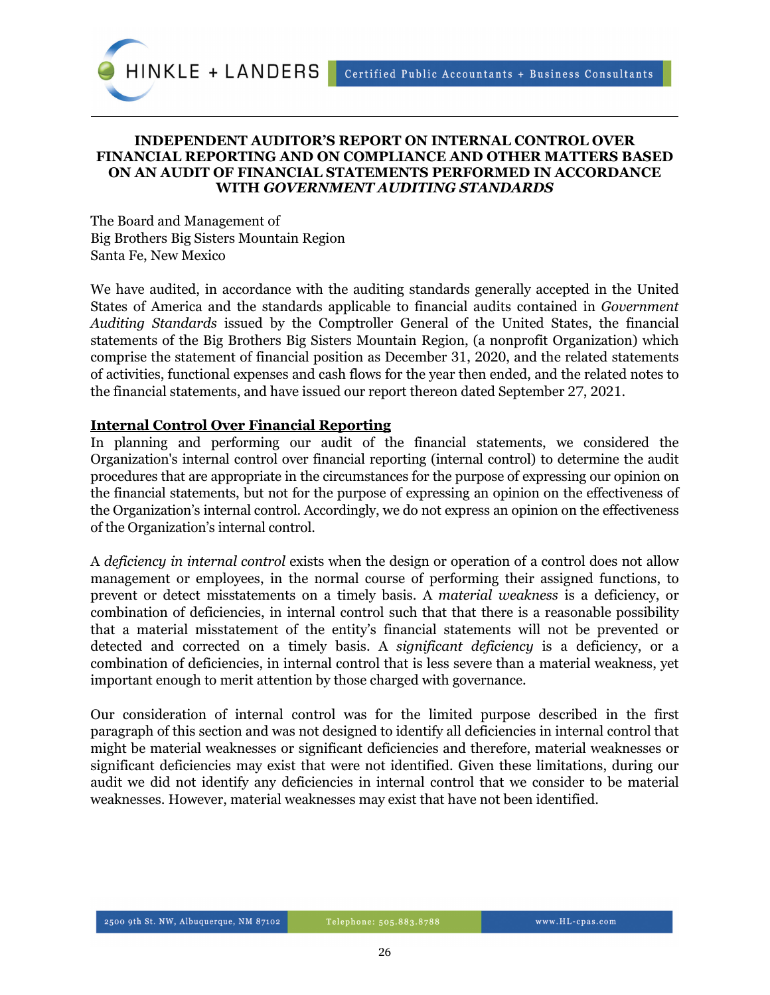

#### **INDEPENDENT AUDITOR'S REPORT ON INTERNAL CONTROL OVER FINANCIAL REPORTING AND ON COMPLIANCE AND OTHER MATTERS BASED ON AN AUDIT OF FINANCIAL STATEMENTS PERFORMED IN ACCORDANCE WITH** *GOVERNMENT AUDITING STANDARDS*

The Board and Management of Big Brothers Big Sisters Mountain Region Santa Fe, New Mexico

We have audited, in accordance with the auditing standards generally accepted in the United States of America and the standards applicable to financial audits contained in *Government Auditing Standards* issued by the Comptroller General of the United States, the financial statements of the Big Brothers Big Sisters Mountain Region, (a nonprofit Organization) which comprise the statement of financial position as December 31, 2020, and the related statements of activities, functional expenses and cash flows for the year then ended, and the related notes to the financial statements, and have issued our report thereon dated September 27, 2021.

## **Internal Control Over Financial Reporting**

In planning and performing our audit of the financial statements, we considered the Organization's internal control over financial reporting (internal control) to determine the audit procedures that are appropriate in the circumstances for the purpose of expressing our opinion on the financial statements, but not for the purpose of expressing an opinion on the effectiveness of the Organization's internal control. Accordingly, we do not express an opinion on the effectiveness of the Organization's internal control.

A *deficiency in internal control* exists when the design or operation of a control does not allow management or employees, in the normal course of performing their assigned functions, to prevent or detect misstatements on a timely basis. A *material weakness* is a deficiency, or combination of deficiencies, in internal control such that that there is a reasonable possibility that a material misstatement of the entity's financial statements will not be prevented or detected and corrected on a timely basis. A *significant deficiency* is a deficiency, or a combination of deficiencies, in internal control that is less severe than a material weakness, yet important enough to merit attention by those charged with governance.

Our consideration of internal control was for the limited purpose described in the first paragraph of this section and was not designed to identify all deficiencies in internal control that might be material weaknesses or significant deficiencies and therefore, material weaknesses or significant deficiencies may exist that were not identified. Given these limitations, during our audit we did not identify any deficiencies in internal control that we consider to be material weaknesses. However, material weaknesses may exist that have not been identified.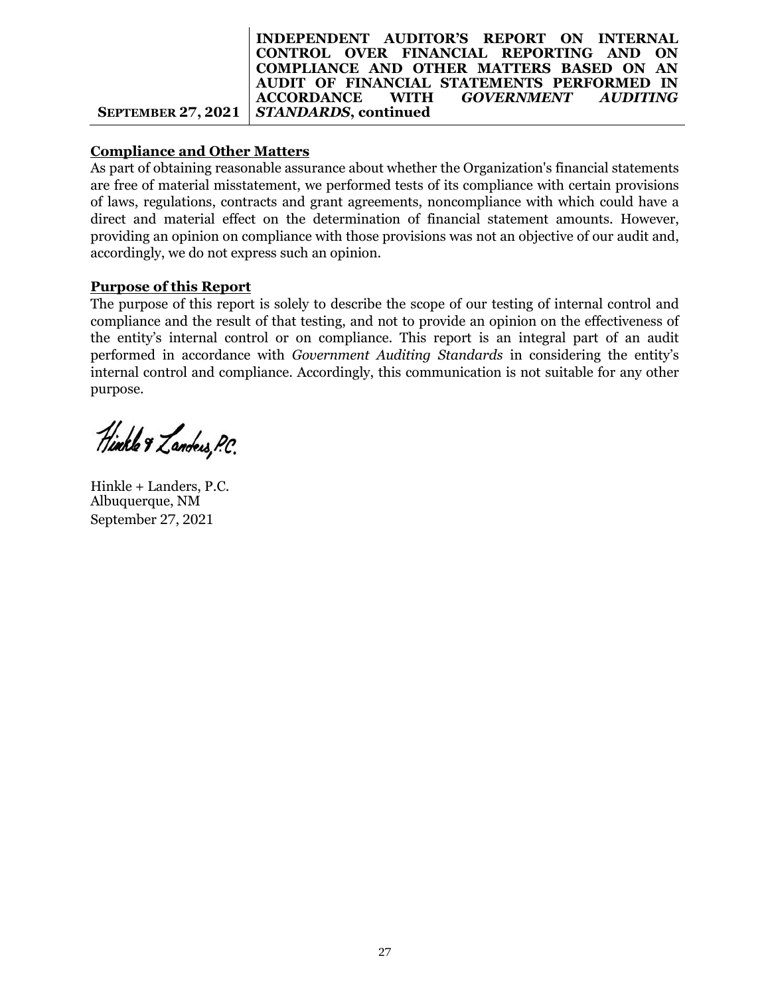| INDEPENDENT AUDITOR'S REPORT ON INTERNAL   |
|--------------------------------------------|
| CONTROL OVER FINANCIAL REPORTING AND ON    |
| COMPLIANCE AND OTHER MATTERS BASED ON AN   |
| AUDIT OF FINANCIAL STATEMENTS PERFORMED IN |
| ACCORDANCE WITH GOVERNMENT AUDITING        |
| SEPTEMBER 27, 2021   STANDARDS, continued  |

## **Compliance and Other Matters**

As part of obtaining reasonable assurance about whether the Organization's financial statements are free of material misstatement, we performed tests of its compliance with certain provisions of laws, regulations, contracts and grant agreements, noncompliance with which could have a direct and material effect on the determination of financial statement amounts. However, providing an opinion on compliance with those provisions was not an objective of our audit and, accordingly, we do not express such an opinion.

## **Purpose of this Report**

The purpose of this report is solely to describe the scope of our testing of internal control and compliance and the result of that testing, and not to provide an opinion on the effectiveness of the entity's internal control or on compliance. This report is an integral part of an audit performed in accordance with *Government Auditing Standards* in considering the entity's internal control and compliance. Accordingly, this communication is not suitable for any other purpose.

Hinkle & Landers, P.C.

Hinkle + Landers, P.C. Albuquerque, NM September 27, 2021